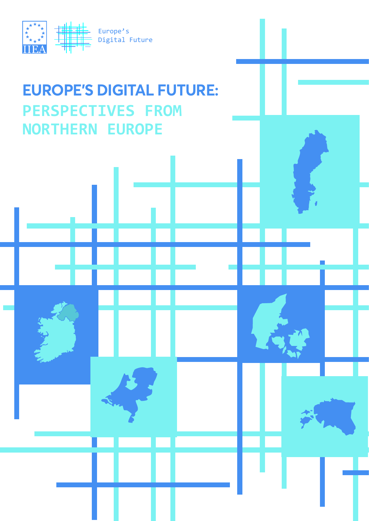

# **EUROPE'S DIGITAL FUTURE: PERSPECTIVES FROM NORTHERN EUROPE**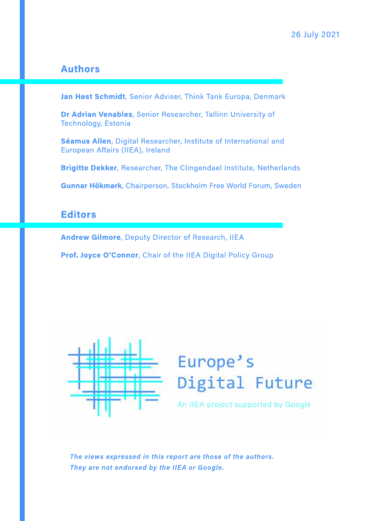#### **Authors**

Jan Høst Schmidt, Senior Adviser, Think Tank Europa, Denmark

Dr Adrian Venables, Senior Researcher, Tallinn University of Technology, Estonia

Séamus Allen, Digital Researcher, Institute of International and European Affairs (IIEA), Ireland

Brigitte Dekker, Researcher, The Clingendael Institute, Netherlands

Gunnar Hökmark, Chairperson, Stockholm Free World Forum, Sweden

#### **Editors**

**Andrew Gilmore, Deputy Director of Research, IIEA** 

Prof. Joyce O'Connor, Chair of the IIEA Digital Policy Group



# Europe's Digital Future

An IIEA project supported by Google

The views expressed in this report are those of the authors. They are not endorsed by the IIEA or Google.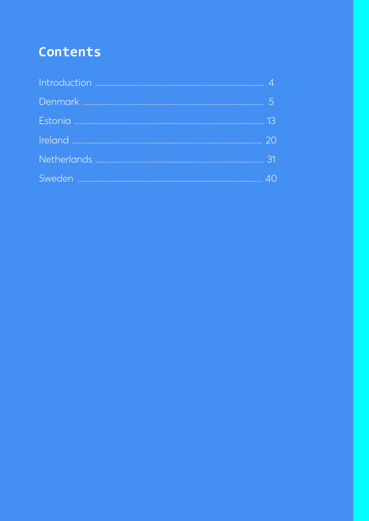# Contents

| $\Delta$ $\cap$ |
|-----------------|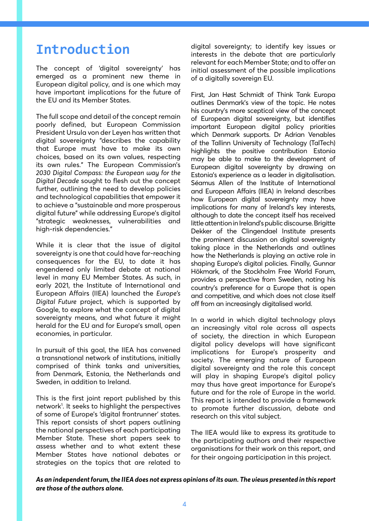# **Introduction**

The concept of 'digital sovereignty' has emerged as a prominent new theme in European digital policy, and is one which may have important implications for the future of the EU and its Member States.

The full scope and detail of the concept remain poorly defined, but European Commission President Ursula von der Leyen has written that digital sovereignty "describes the capability that Europe must have to make its own choices, based on its own values, respecting its own rules." The European Commission's *2030 Digital Compass: the European way for the Digital Decade* sought to flesh out the concept further, outlining the need to develop policies and technological capabilities that empower it to achieve a "sustainable and more prosperous digital future" while addressing Europe's digital "strategic weaknesses, vulnerabilities and high-risk dependencies."

While it is clear that the issue of digital sovereignty is one that could have far-reaching consequences for the EU, to date it has engendered only limited debate at national level in many EU Member States. As such, in early 2021, the Institute of International and European Affairs (IIEA) launched the *Europe's Digital Future* project, which is supported by Google, to explore what the concept of digital sovereignty means, and what future it might herald for the EU and for Europe's small, open economies, in particular.

In pursuit of this goal, the IIEA has convened a transnational network of institutions, initially comprised of think tanks and universities, from Denmark, Estonia, the Netherlands and Sweden, in addition to Ireland.

This is the first joint report published by this network1 . It seeks to highlight the perspectives of some of Europe's 'digital frontrunner' states. This report consists of short papers outlining the national perspectives of each participating Member State. These short papers seek to assess whether and to what extent these Member States have national debates or strategies on the topics that are related to

digital sovereignty; to identify key issues or interests in the debate that are particularly relevant for each Member State; and to offer an initial assessment of the possible implications of a digitally sovereign EU.

First, Jan Høst Schmidt of Think Tank Europa outlines Denmark's view of the topic. He notes his country's more sceptical view of the concept of European digital sovereignty, but identifies important European digital policy priorities which Denmark supports. Dr Adrian Venables of the Tallinn University of Technology (TalTech) highlights the positive contribution Estonia may be able to make to the development of European digital sovereignty by drawing on Estonia's experience as a leader in digitalisation. Séamus Allen of the Institute of International and European Affairs (IIEA) in Ireland describes how European digital sovereignty may have implications for many of Ireland's key interests, although to date the concept itself has received little attention in Ireland's public discourse. Brigitte Dekker of the Clingendael Institute presents the prominent discussion on digital sovereignty taking place in the Netherlands and outlines how the Netherlands is playing an active role in shaping Europe's digital policies. Finally, Gunnar Hökmark, of the Stockholm Free World Forum, provides a perspective from Sweden, noting his country's preference for a Europe that is open and competitive, and which does not close itself off from an increasingly digitalised world.

In a world in which digital technology plays an increasingly vital role across all aspects of society, the direction in which European digital policy develops will have significant implications for Europe's prosperity and society. The emerging nature of European digital sovereignty and the role this concept will play in shaping Europe's digital policy may thus have great importance for Europe's future and for the role of Europe in the world. This report is intended to provide a framework to promote further discussion, debate and research on this vital subject.

The IIEA would like to express its gratitude to the participating authors and their respective organisations for their work on this report, and for their ongoing participation in this project.

*As an independent forum, the IIEA does not express opinions of its own. The views presented in this report are those of the authors alone.*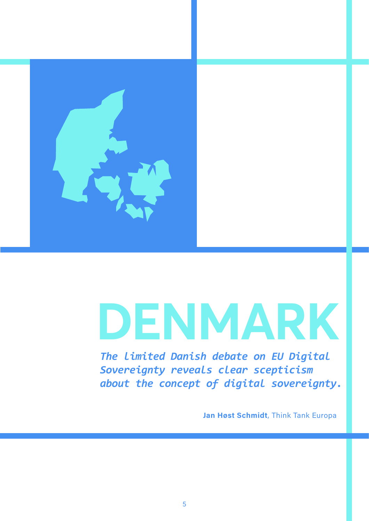

# **DENMARK**

*The limited Danish debate on EU Digital Sovereignty reveals clear scepticism about the concept of digital sovereignty.* 

**Jan Høst Schmidt**, Think Tank Europa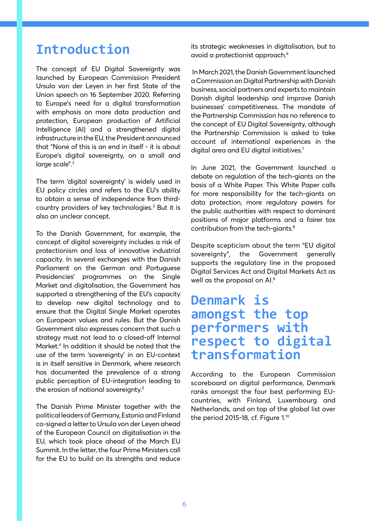# **Introduction**

The concept of EU Digital Sovereignty was launched by European Commission President Ursula von der Leyen in her first State of the Union speech on 16 September 2020. Referring to Europe's need for a digital transformation with emphasis on more data production and protection, European production of Artificial Intelligence (AI) and a strengthened digital infrastructure in the EU, the President announced that "None of this is an end in itself - it is about Europe's digital sovereignty, on a small and large scale".<sup>2</sup>

The term 'digital sovereignty' is widely used in EU policy circles and refers to the EU's ability to obtain a sense of independence from thirdcountry providers of key technologies.3 But it is also an unclear concept.

To the Danish Government, for example, the concept of digital sovereignty includes a risk of protectionism and loss of innovative industrial capacity. In several exchanges with the Danish Parliament on the German and Portuguese Presidencies' programmes on the Single Market and digitalisation, the Government has supported a strengthening of the EU's capacity to develop new digital technology and to ensure that the Digital Single Market operates on European values and rules. But the Danish Government also expresses concern that such a strategy must not lead to a closed-off Internal Market.4 In addition it should be noted that the use of the term 'sovereignty' in an EU-context is in itself sensitive in Denmark, where research has documented the prevalence of a strong public perception of EU-integration leading to the erosion of national sovereignty.<sup>5</sup>

The Danish Prime Minister together with the political leaders of Germany, Estonia and Finland co-signed a letter to Ursula von der Leyen ahead of the European Council on digitalisation in the EU, which took place ahead of the March EU Summit. In the letter, the four Prime Ministers call for the EU to build on its strengths and reduce its strategic weaknesses in digitalisation, but to avoid a protectionist approach.6

 In March 2021, the Danish Government launched a Commission on Digital Partnership with Danish business, social partners and experts to maintain Danish digital leadership and improve Danish businesses' competitiveness. The mandate of the Partnership Commission has no reference to the concept of EU Digital Sovereignty, although the Partnership Commission is asked to take account of international experiences in the digital area and EU digital initiatives.<sup>7</sup>

In June 2021, the Government launched a debate on regulation of the tech-giants on the basis of a White Paper. This White Paper calls for more responsibility for the tech-giants on data protection, more regulatory powers for the public authorities with respect to dominant positions of major platforms and a fairer tax contribution from the tech-giants.8

Despite scepticism about the term "EU digital sovereignty", the Government generally supports the regulatory line in the proposed Digital Services Act and Digital Markets Act as well as the proposal on AI.9

# **Denmark is amongst the top performers with respect to digital transformation**

According to the European Commission scoreboard on digital performance, Denmark ranks amongst the four best performing EUcountries, with Finland, Luxembourg and Netherlands, and on top of the global list over the period 2015-18, cf. Figure 1.<sup>10</sup>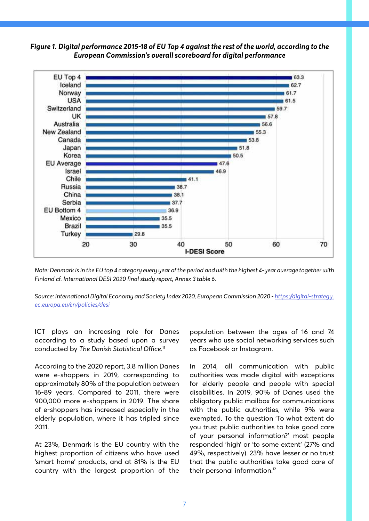



*Note: Denmark is in the EU top 4 category every year of the period and with the highest 4-year average together with Finland cf. International DESI 2020 final study report, Annex 3 table 6.* 

*Source: International Digital Economy and Society Index 2020, European Commission 2020 - https://digital-strategy. ec.europa.eu/en/policies/desi*

ICT plays an increasing role for Danes according to a study based upon a survey conducted by *The Danish Statistical Office*. 11

According to the 2020 report, 3.8 million Danes were e-shoppers in 2019, corresponding to approximately 80% of the population between 16-89 years. Compared to 2011, there were 900,000 more e-shoppers in 2019. The share of e-shoppers has increased especially in the elderly population, where it has tripled since 2011.

At 23%, Denmark is the EU country with the highest proportion of citizens who have used 'smart home' products, and at 81% is the EU country with the largest proportion of the

population between the ages of 16 and 74 years who use social networking services such as Facebook or Instagram.

In 2014, all communication with public authorities was made digital with exceptions for elderly people and people with special disabilities. In 2019, 90% of Danes used the obligatory public mailbox for communications with the public authorities, while 9% were exempted. To the question 'To what extent do you trust public authorities to take good care of your personal information?' most people responded 'high' or 'to some extent' (27% and 49%, respectively). 23% have lesser or no trust that the public authorities take good care of their personal information.12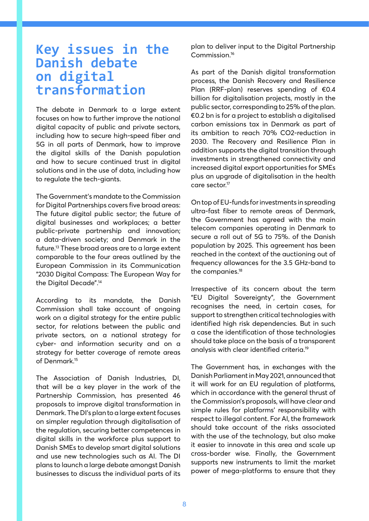### **Key issues in the Danish debate on digital transformation**

The debate in Denmark to a large extent focuses on how to further improve the national digital capacity of public and private sectors, including how to secure high-speed fiber and 5G in all parts of Denmark, how to improve the digital skills of the Danish population and how to secure continued trust in digital solutions and in the use of data, including how to regulate the tech-giants.

The Government's mandate to the Commission for Digital Partnerships covers five broad areas: The future digital public sector; the future of digital businesses and workplaces; a better public-private partnership and innovation; a data-driven society; and Denmark in the future.13 These broad areas are to a large extent comparable to the four areas outlined by the European Commission in its Communication "2030 Digital Compass: The European Way for the Digital Decade".14

According to its mandate, the Danish Commission shall take account of ongoing work on a digital strategy for the entire public sector, for relations between the public and private sectors, on a national strategy for cyber- and information security and on a strategy for better coverage of remote areas of Denmark.15

The Association of Danish Industries, DI, that will be a key player in the work of the Partnership Commission, has presented 46 proposals to improve digital transformation in Denmark. The DI's plan to a large extent focuses on simpler regulation through digitalisation of the regulation, securing better competences in digital skills in the workforce plus support to Danish SMEs to develop smart digital solutions and use new technologies such as AI. The DI plans to launch a large debate amongst Danish businesses to discuss the individual parts of its plan to deliver input to the Digital Partnership Commission.16

As part of the Danish digital transformation process, the Danish Recovery and Resilience Plan (RRF-plan) reserves spending of €0.4 billion for digitalisation projects, mostly in the public sector, corresponding to 25% of the plan. €0.2 bn is for a project to establish a digitalised carbon emissions tax in Denmark as part of its ambition to reach 70% CO2-reduction in 2030. The Recovery and Resilience Plan in addition supports the digital transition through investments in strengthened connectivity and increased digital export opportunities for SMEs plus an upgrade of digitalisation in the health care sector.<sup>17</sup>

On top of EU-funds for investments in spreading ultra-fast fiber to remote areas of Denmark, the Government has agreed with the main telecom companies operating in Denmark to secure a roll out of 5G to 75%. of the Danish population by 2025. This agreement has been reached in the context of the auctioning out of frequency allowances for the 3.5 GHz-band to the companies.<sup>18</sup>

Irrespective of its concern about the term "EU Digital Sovereignty", the Government recognises the need, in certain cases, for support to strengthen critical technologies with identified high risk dependencies. But in such a case the identification of those technologies should take place on the basis of a transparent analysis with clear identified criteria.19

The Government has, in exchanges with the Danish Parliament in May 2021, announced that it will work for an EU regulation of platforms, which in accordance with the general thrust of the Commission's proposals, will have clear and simple rules for platforms' responsibility with respect to illegal content. For AI, the framework should take account of the risks associated with the use of the technology, but also make it easier to innovate in this area and scale up cross-border wise. Finally, the Government supports new instruments to limit the market power of mega-platforms to ensure that they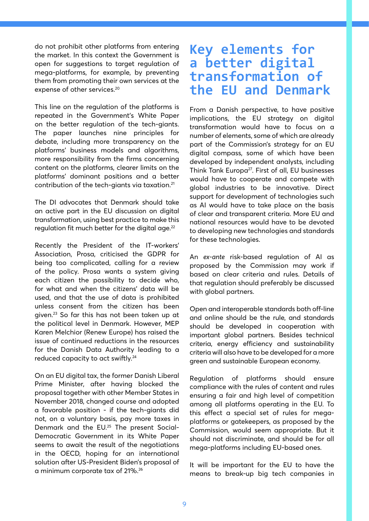do not prohibit other platforms from entering the market. In this context the Government is open for suggestions to target regulation of mega-platforms, for example, by preventing them from promoting their own services at the expense of other services.<sup>20</sup>

This line on the regulation of the platforms is repeated in the Government's White Paper on the better regulation of the tech-giants. The paper launches nine principles for debate, including more transparency on the platforms' business models and algorithms, more responsibility from the firms concerning content on the platforms, clearer limits on the platforms' dominant positions and a better contribution of the tech-giants via taxation.21

The DI advocates that Denmark should take an active part in the EU discussion on digital transformation, using best practice to make this regulation fit much better for the digital age.<sup>22</sup>

Recently the President of the IT-workers' Association, Prosa, criticised the GDPR for being too complicated, calling for a review of the policy. Prosa wants a system giving each citizen the possibility to decide who, for what and when the citizens' data will be used, and that the use of data is prohibited unless consent from the citizen has been given.23 So far this has not been taken up at the political level in Denmark. However, MEP Karen Melchior (Renew Europe) has raised the issue of continued reductions in the resources for the Danish Data Authority leading to a reduced capacity to act swiftly.24

On an EU digital tax, the former Danish Liberal Prime Minister, after having blocked the proposal together with other Member States in November 2018, changed course and adopted a favorable position - if the tech-giants did not, on a voluntary basis, pay more taxes in Denmark and the EU.25 The present Social-Democratic Government in its White Paper seems to await the result of the negotiations in the OECD, hoping for an international solution after US-President Biden's proposal of a minimum corporate tax of 21%.26

# **Key elements for a better digital transformation of the EU and Denmark**

From a Danish perspective, to have positive implications, the EU strategy on digital transformation would have to focus on a number of elements, some of which are already part of the Commission's strategy for an EU digital compass, some of which have been developed by independent analysts, including Think Tank Europa<sup>27</sup>. First of all, EU businesses would have to cooperate and compete with global industries to be innovative. Direct support for development of technologies such as AI would have to take place on the basis of clear and transparent criteria. More EU and national resources would have to be devoted to developing new technologies and standards for these technologies.

An *ex-ante* risk-based regulation of AI as proposed by the Commission may work if based on clear criteria and rules. Details of that regulation should preferably be discussed with global partners.

Open and interoperable standards both off-line and online should be the rule, and standards should be developed in cooperation with important global partners. Besides technical criteria, energy efficiency and sustainability criteria will also have to be developed for a more green and sustainable European economy.

Regulation of platforms should ensure compliance with the rules of content and rules ensuring a fair and high level of competition among all platforms operating in the EU. To this effect a special set of rules for megaplatforms or gatekeepers, as proposed by the Commission, would seem appropriate. But it should not discriminate, and should be for all mega-platforms including EU-based ones.

It will be important for the EU to have the means to break-up big tech companies in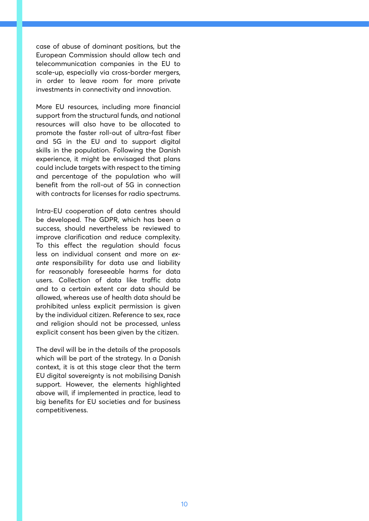case of abuse of dominant positions, but the European Commission should allow tech and telecommunication companies in the EU to scale-up, especially via cross-border mergers, in order to leave room for more private investments in connectivity and innovation.

More EU resources, including more financial support from the structural funds, and national resources will also have to be allocated to promote the faster roll-out of ultra-fast fiber and 5G in the EU and to support digital skills in the population. Following the Danish experience, it might be envisaged that plans could include targets with respect to the timing and percentage of the population who will benefit from the roll-out of 5G in connection with contracts for licenses for radio spectrums.

Intra-EU cooperation of data centres should be developed. The GDPR, which has been a success, should nevertheless be reviewed to improve clarification and reduce complexity. To this effect the regulation should focus less on individual consent and more on *exante* responsibility for data use and liability for reasonably foreseeable harms for data users. Collection of data like traffic data and to a certain extent car data should be allowed, whereas use of health data should be prohibited unless explicit permission is given by the individual citizen. Reference to sex, race and religion should not be processed, unless explicit consent has been given by the citizen.

The devil will be in the details of the proposals which will be part of the strategy. In a Danish context, it is at this stage clear that the term EU digital sovereignty is not mobilising Danish support. However, the elements highlighted above will, if implemented in practice, lead to big benefits for EU societies and for business competitiveness.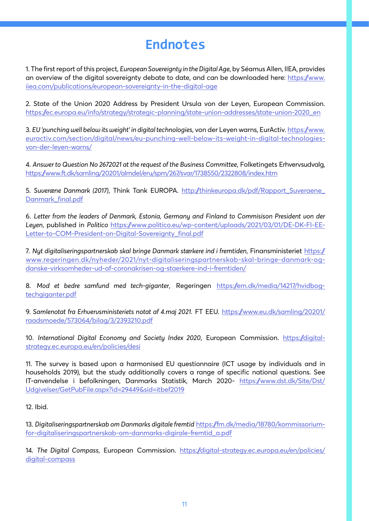# **Endnotes**

1. The first report of this project, *European Sovereignty in the Digital Age*, by Séamus Allen, IIEA, provides an overview of the digital sovereignty debate to date, and can be downloaded here: https://www. iiea.com/publications/european-sovereignty-in-the-digital-age

2. State of the Union 2020 Address by President Ursula von der Leyen, European Commission. https://ec.europa.eu/info/strategy/strategic-planning/state-union-addresses/state-union-2020\_en

3. *EU 'punching well below its weight' in digital technologies*, von der Leyen warns, EurActiv. https://www. euractiv.com/section/digital/news/eu-punching-well-below-its-weight-in-digital-technologiesvon-der-leyen-warns/

4. *Answer to Question No 2672021 at the request of the Business Committee*, Folketingets Erhvervsudvalg, https://www.ft.dk/samling/20201/almdel/eru/spm/267/svar/1738550/2322808/index.htm

5. *Suveræne Danmark (2017)*, Think Tank EUROPA. http://thinkeuropa.dk/pdf/Rapport\_Suveraene\_ Danmark\_final.pdf

6. *Letter from the leaders of Denmark, Estonia, Germany and Finland to Commisison President von der Leyen*, published in *Politico* https://www.politico.eu/wp-content/uploads/2021/03/01/DE-DK-FI-EE-Letter-to-COM-President-on-Digital-Sovereignty\_final.pdf

7. *Nyt digitaliseringspartnerskab skal bringe Danmark stærkere ind i fremtiden*, Finansministeriet https:// www.regeringen.dk/nyheder/2021/nyt-digitaliseringspartnerskab-skal-bringe-danmark-ogdanske-virksomheder-ud-af-coronakrisen-og-staerkere-ind-i-fremtiden/

8. *Mod et bedre samfund med tech-giganter*, Regeringen https://em.dk/media/14217/hvidbogtechgiganter.pdf

9. *Samlenotat fra Erhvervsministeriets notat af 4.maj 2021.* FT EEU. https://www.eu.dk/samling/20201/ raadsmoede/573064/bilag/3/2393210.pdf

10. *International Digital Economy and Society Index 2020*, European Commission. https://digitalstrategy.ec.europa.eu/en/policies/desi

11. The survey is based upon a harmonised EU questionnaire (ICT usage by individuals and in households 2019), but the study additionally covers a range of specific national questions. See IT-anvendelse i befolkningen, Danmarks Statistik, March 2020- https://www.dst.dk/Site/Dst/ Udgivelser/GetPubFile.aspx?id=29449&sid=itbef2019

12. Ibid.

13. *Digitaliseringspartnerskab om Danmarks digitale fremtid* https://fm.dk/media/18780/kommissoriumfor-digitaliseringspartnerskab-om-danmarks-digirale-fremtid\_a.pdf

14. *The Digital Compass*, European Commission. https://digital-strategy.ec.europa.eu/en/policies/ digital-compass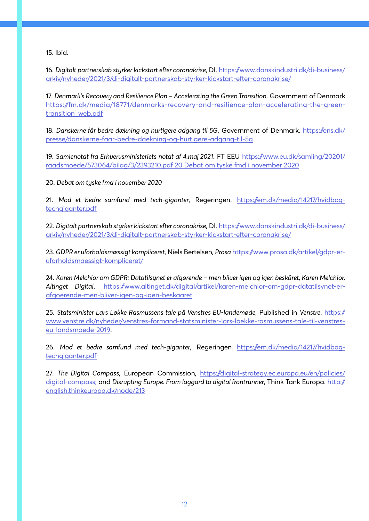15. Ibid.

16. *Digitalt partnerskab styrker kickstart efter coronakrise*, DI. https://www.danskindustri.dk/di-business/ arkiv/nyheder/2021/3/di-digitalt-partnerskab-styrker-kickstart-efter-coronakrise/

17. *Denmark's Recovery and Resilience Plan – Accelerating the Green Transition*. Government of Denmark https://fm.dk/media/18771/denmarks-recovery-and-resilience-plan-accelerating-the-greentransition\_web.pdf

18. *Danskerne får bedre dækning og hurtigere adgang til 5G*. Government of Denmark. https://ens.dk/ presse/danskerne-faar-bedre-daekning-og-hurtigere-adgang-til-5g

19. *Samlenotat fra Erhvervsministeriets notat af 4.maj 2021*. FT EEU https://www.eu.dk/samling/20201/ raadsmoede/573064/bilag/3/2393210.pdf 20 Debat om tyske fmd i november 2020

20. *Debat om tyske fmd i november 2020*

21. *Mod et bedre samfund med tech-giganter*, Regeringen. https://em.dk/media/14217/hvidbogtechgiganter.pdf

22. *Digitalt partnerskab styrker kickstart efter coronakrise*, DI. https://www.danskindustri.dk/di-business/ arkiv/nyheder/2021/3/di-digitalt-partnerskab-styrker-kickstart-efter-coronakrise/

23. *GDPR er uforholdsmæssigt kompliceret*, Niels Bertelsen, *Prosa* https://www.prosa.dk/artikel/gdpr-eruforholdsmaessigt-kompliceret/

24. *Karen Melchior om GDPR: Datatilsynet er afgørende – men bliver igen og igen beskåret, Karen Melchior, Altinget Digital*. https://www.altinget.dk/digital/artikel/karen-melchior-om-gdpr-datatilsynet-erafgoerende-men-bliver-igen-og-igen-beskaaret

25. *Statsminister Lars Løkke Rasmussens tale på Venstres EU-landemøde*, Published in *Venstre*. https:// www.venstre.dk/nyheder/venstres-formand-statsminister-lars-loekke-rasmussens-tale-til-venstreseu-landsmoede-2019.

26. *Mod et bedre samfund med tech-giganter*, Regeringen https://em.dk/media/14217/hvidbogtechgiganter.pdf

27. *The Digital Compass*, European Commission, https://digital-strategy.ec.europa.eu/en/policies/ digital-compass; and Disrupting Europe. From laggard to digital frontrunner, Think Tank Europa. http:// english.thinkeuropa.dk/node/213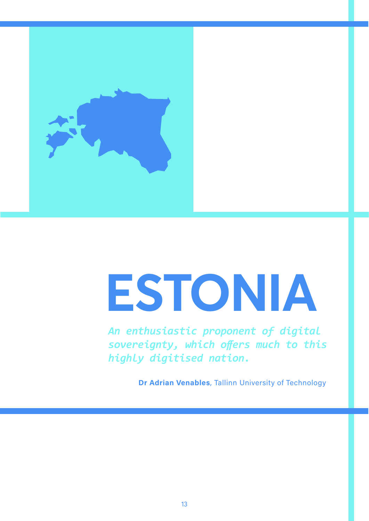

# **ESTONIA**

*An enthusiastic proponent of digital sovereignty, which offers much to this highly digitised nation.*

**Dr Adrian Venables**, Tallinn University of Technology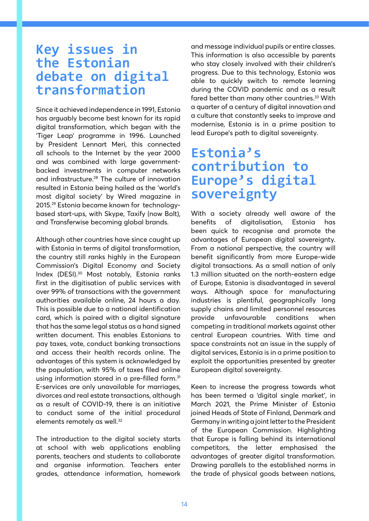# **Key issues in the Estonian debate on digital transformation**

Since it achieved independence in 1991, Estonia has arguably become best known for its rapid digital transformation, which began with the 'Tiger Leap' programme in 1996. Launched by President Lennart Meri, this connected all schools to the Internet by the year 2000 and was combined with large governmentbacked investments in computer networks and infrastructure.28 The culture of innovation resulted in Estonia being hailed as the 'world's most digital society' by Wired magazine in 2015.29 Estonia became known for technologybased start-ups, with Skype, Taxify (now Bolt), and Transferwise becoming global brands.

Although other countries have since caught up with Estonia in terms of digital transformation, the country still ranks highly in the European Commission's Digital Economy and Society Index (DESI).30 Most notably, Estonia ranks first in the digitisation of public services with over 99% of transactions with the government authorities available online, 24 hours a day. This is possible due to a national identification card, which is paired with a digital signature that has the same legal status as a hand signed written document. This enables Estonians to pay taxes, vote, conduct banking transactions and access their health records online. The advantages of this system is acknowledged by the population, with 95% of taxes filed online using information stored in a pre-filled form.<sup>31</sup> E-services are only unavailable for marriages, divorces and real estate transactions, although as a result of COVID-19, there is an initiative to conduct some of the initial procedural elements remotely as well.<sup>32</sup>

The introduction to the digital society starts at school with web applications enabling parents, teachers and students to collaborate and organise information. Teachers enter grades, attendance information, homework and message individual pupils or entire classes. This information is also accessible by parents who stay closely involved with their children's progress. Due to this technology, Estonia was able to quickly switch to remote learning during the COVID pandemic and as a result fared better than many other countries.33 With a quarter of a century of digital innovation and a culture that constantly seeks to improve and modernise, Estonia is in a prime position to lead Europe's path to digital sovereignty.

# **Estonia's contribution to Europe's digital sovereignty**

With a society already well aware of the benefits of digitalisation, Estonia has been quick to recognise and promote the advantages of European digital sovereignty. From a national perspective, the country will benefit significantly from more Europe-wide digital transactions. As a small nation of only 1.3 million situated on the north-eastern edge of Europe, Estonia is disadvantaged in several ways. Although space for manufacturing industries is plentiful, geographically long supply chains and limited personnel resources provide unfavourable conditions when competing in traditional markets against other central European countries. With time and space constraints not an issue in the supply of digital services, Estonia is in a prime position to exploit the opportunities presented by greater European digital sovereignty.

Keen to increase the progress towards what has been termed a 'digital single market', in March 2021, the Prime Minister of Estonia joined Heads of State of Finland, Denmark and Germany in writing a joint letter to the President of the European Commission. Highlighting that Europe is falling behind its international competitors, the letter emphasised the advantages of greater digital transformation. Drawing parallels to the established norms in the trade of physical goods between nations,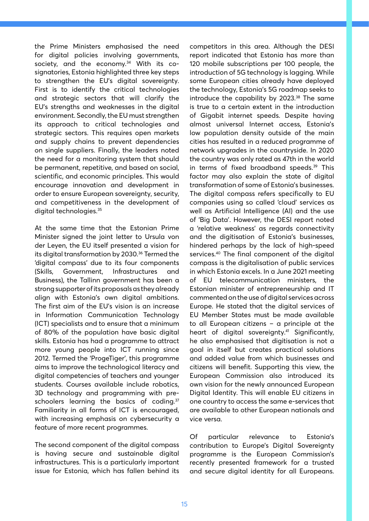the Prime Ministers emphasised the need for digital policies involving governments, society, and the economy.<sup>34</sup> With its cosignatories, Estonia highlighted three key steps to strengthen the EU's digital sovereignty. First is to identify the critical technologies and strategic sectors that will clarify the EU's strengths and weaknesses in the digital environment. Secondly, the EU must strengthen its approach to critical technologies and strategic sectors. This requires open markets and supply chains to prevent dependencies on single suppliers. Finally, the leaders noted the need for a monitoring system that should be permanent, repetitive, and based on social, scientific, and economic principles. This would encourage innovation and development in order to ensure European sovereignty, security, and competitiveness in the development of digital technologies.<sup>35</sup>

At the same time that the Estonian Prime Minister signed the joint letter to Ursula von der Leyen, the EU itself presented a vision for its digital transformation by 2030.<sup>36</sup> Termed the 'digital compass' due to its four components (Skills, Government, Infrastructures and Business), the Tallinn government has been a strong supporter of its proposals as they already align with Estonia's own digital ambitions. The first aim of the EU's vision is an increase in Information Communication Technology (ICT) specialists and to ensure that a minimum of 80% of the population have basic digital skills. Estonia has had a programme to attract more young people into ICT running since 2012. Termed the 'ProgeTiger', this programme aims to improve the technological literacy and digital competencies of teachers and younger students. Courses available include robotics, 3D technology and programming with preschoolers learning the basics of coding.<sup>37</sup> Familiarity in all forms of ICT is encouraged, with increasing emphasis on cybersecurity a feature of more recent programmes.

The second component of the digital compass is having secure and sustainable digital infrastructures. This is a particularly important issue for Estonia, which has fallen behind its

competitors in this area. Although the DESI report indicated that Estonia has more than 120 mobile subscriptions per 100 people, the introduction of 5G technology is lagging. While some European cities already have deployed the technology, Estonia's 5G roadmap seeks to introduce the capability by  $2023.^{38}$  The same is true to a certain extent in the introduction of Gigabit internet speeds. Despite having almost universal Internet access, Estonia's low population density outside of the main cities has resulted in a reduced programme of network upgrades in the countryside. In 2020 the country was only rated as 47th in the world in terms of fixed broadband speeds.<sup>39</sup> This factor may also explain the state of digital transformation of some of Estonia's businesses. The digital compass refers specifically to EU companies using so called 'cloud' services as well as Artificial Intelligence (AI) and the use of 'Big Data'. However, the DESI report noted a 'relative weakness' as regards connectivity and the digitisation of Estonia's businesses, hindered perhaps by the lack of high-speed services.40 The final component of the digital compass is the digitalisation of public services in which Estonia excels. In a June 2021 meeting of EU telecommunication ministers, the Estonian minister of entrepreneurship and IT commented on the use of digital services across Europe. He stated that the digital services of EU Member States must be made available to all European citizens – a principle at the heart of digital sovereignty.<sup>41</sup> Significantly, he also emphasised that digitisation is not a goal in itself but creates practical solutions and added value from which businesses and citizens will benefit. Supporting this view, the European Commission also introduced its own vision for the newly announced European Digital Identity. This will enable EU citizens in one country to access the same e-services that are available to other European nationals and vice versa.

Of particular relevance to Estonia's contribution to Europe's Digital Sovereignty programme is the European Commission's recently presented framework for a trusted and secure digital identity for all Europeans.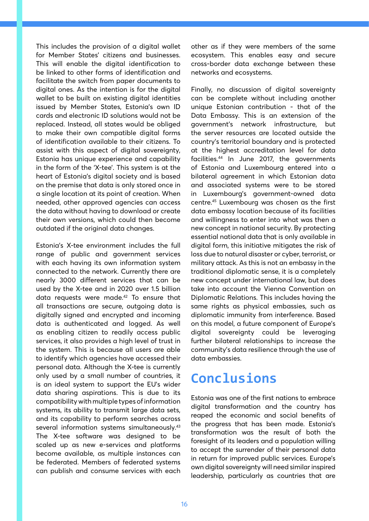This includes the provision of a digital wallet for Member States' citizens and businesses. This will enable the digital identification to be linked to other forms of identification and facilitate the switch from paper documents to digital ones. As the intention is for the digital wallet to be built on existing digital identities issued by Member States, Estonia's own ID cards and electronic ID solutions would not be replaced. Instead, all states would be obliged to make their own compatible digital forms of identification available to their citizens. To assist with this aspect of digital sovereignty, Estonia has unique experience and capability in the form of the 'X-tee'. This system is at the heart of Estonia's digital society and is based on the premise that data is only stored once in a single location at its point of creation. When needed, other approved agencies can access the data without having to download or create their own versions, which could then become outdated if the original data changes.

Estonia's X-tee environment includes the full range of public and government services with each having its own information system connected to the network. Currently there are nearly 3000 different services that can be used by the X-tee and in 2020 over 1.5 billion data requests were made.<sup>42</sup> To ensure that all transactions are secure, outgoing data is digitally signed and encrypted and incoming data is authenticated and logged. As well as enabling citizen to readily access public services, it also provides a high level of trust in the system. This is because all users are able to identify which agencies have accessed their personal data. Although the X-tee is currently only used by a small number of countries, it is an ideal system to support the EU's wider data sharing aspirations. This is due to its compatibility with multiple types of information systems, its ability to transmit large data sets, and its capability to perform searches across several information systems simultaneously.<sup>43</sup> The X-tee software was designed to be scaled up as new e-services and platforms become available, as multiple instances can be federated. Members of federated systems can publish and consume services with each other as if they were members of the same ecosystem. This enables easy and secure cross-border data exchange between these networks and ecosystems.

Finally, no discussion of digital sovereignty can be complete without including another unique Estonian contribution - that of the Data Embassy. This is an extension of the government's network infrastructure, but the server resources are located outside the country's territorial boundary and is protected at the highest accreditation level for data facilities.44 In June 2017, the governments of Estonia and Luxembourg entered into a bilateral agreement in which Estonian data and associated systems were to be stored in Luxembourg's government-owned data centre.45 Luxembourg was chosen as the first data embassy location because of its facilities and willingness to enter into what was then a new concept in national security. By protecting essential national data that is only available in digital form, this initiative mitigates the risk of loss due to natural disaster or cyber, terrorist, or military attack. As this is not an embassy in the traditional diplomatic sense, it is a completely new concept under international law, but does take into account the Vienna Convention on Diplomatic Relations. This includes having the same rights as physical embassies, such as diplomatic immunity from interference. Based on this model, a future component of Europe's digital sovereignty could be leveraging further bilateral relationships to increase the community's data resilience through the use of data embassies.

# **Conclusions**

Estonia was one of the first nations to embrace digital transformation and the country has reaped the economic and social benefits of the progress that has been made. Estonia's transformation was the result of both the foresight of its leaders and a population willing to accept the surrender of their personal data in return for improved public services. Europe's own digital sovereignty will need similar inspired leadership, particularly as countries that are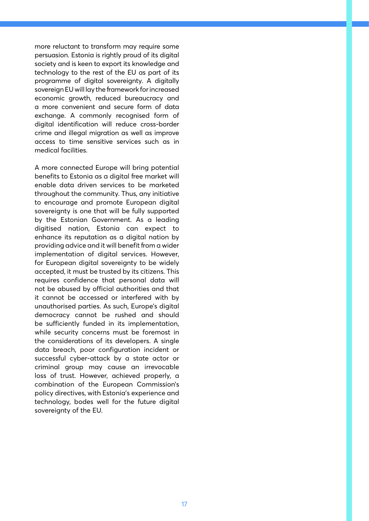more reluctant to transform may require some persuasion. Estonia is rightly proud of its digital society and is keen to export its knowledge and technology to the rest of the EU as part of its programme of digital sovereignty. A digitally sovereign EU will lay the framework for increased economic growth, reduced bureaucracy and a more convenient and secure form of data exchange. A commonly recognised form of digital identification will reduce cross-border crime and illegal migration as well as improve access to time sensitive services such as in medical facilities.

A more connected Europe will bring potential benefits to Estonia as a digital free market will enable data driven services to be marketed throughout the community. Thus, any initiative to encourage and promote European digital sovereignty is one that will be fully supported by the Estonian Government. As a leading digitised nation, Estonia can expect to enhance its reputation as a digital nation by providing advice and it will benefit from a wider implementation of digital services. However, for European digital sovereignty to be widely accepted, it must be trusted by its citizens. This requires confidence that personal data will not be abused by official authorities and that it cannot be accessed or interfered with by unauthorised parties. As such, Europe's digital democracy cannot be rushed and should be sufficiently funded in its implementation, while security concerns must be foremost in the considerations of its developers. A single data breach, poor configuration incident or successful cyber-attack by a state actor or criminal group may cause an irrevocable loss of trust. However, achieved properly, a combination of the European Commission's policy directives, with Estonia's experience and technology, bodes well for the future digital sovereignty of the EU.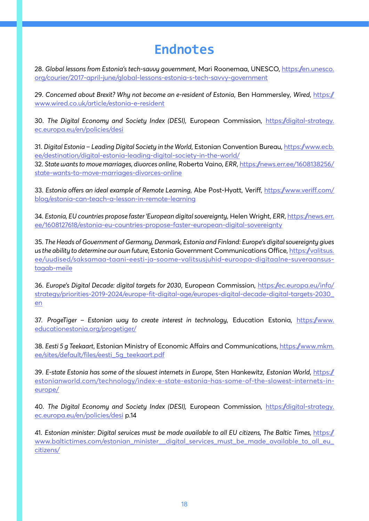# **Endnotes**

28. *Global lessons from Estonia's tech-savvy government*, Mari Roonemaa, UNESCO, https://en.unesco. org/courier/2017-april-june/global-lessons-estonia-s-tech-savvy-government

29. *Concerned about Brexit? Why not become an e-resident of Estonia*, Ben Hammersley, *Wired*, https:// www.wired.co.uk/article/estonia-e-resident

30. *The Digital Economy and Society Index (DESI)*, European Commission, https://digital-strategy. ec.europa.eu/en/policies/desi

31. *Digital Estonia – Leading Digital Society in the World*, Estonian Convention Bureau, https://www.ecb. ee/destination/digital-estonia-leading-digital-society-in-the-world/

32. *State wants to move marriages, divorces online*, Roberta Vaino, *ERR*, https://news.err.ee/1608138256/ state-wants-to-move-marriages-divorces-online

33. *Estonia offers an ideal example of Remote Learning*, Abe Post-Hyatt, Veriff, https://www.veriff.com/ blog/estonia-can-teach-a-lesson-in-remote-learning

34. *Estonia, EU countries propose faster 'European digital sovereignty*, Helen Wright, *ERR*, https://news.err. ee/1608127618/estonia-eu-countries-propose-faster-european-digital-sovereignty

35. *The Heads of Government of Germany, Denmark, Estonia and Finland: Europe's digital sovereignty gives us the ability to determine our own future*, Estonia Government Communications Office, https://valitsus. ee/uudised/saksamaa-taani-eesti-ja-soome-valitsusjuhid-euroopa-digitaalne-suveraansustagab-meile

36. *Europe's Digital Decade: digital targets for 2030*, European Commission, https://ec.europa.eu/info/ strategy/priorities-2019-2024/europe-fit-digital-age/europes-digital-decade-digital-targets-2030\_ en

37. *ProgeTiger – Estonian way to create interest in technology*, Education Estonia, https://www. educationestonia.org/progetiger/

38. *Eesti 5 g Teekaart*, Estonian Ministry of Economic Affairs and Communications, https://www.mkm. ee/sites/default/files/eesti\_5g\_teekaart.pdf

39. *E-state Estonia has some of the slowest internets in Europe*, Sten Hankewitz, *Estonian World*, https:// estonianworld.com/technology/index-e-state-estonia-has-some-of-the-slowest-internets-ineurope/

40. *The Digital Economy and Society Index (DESI),* European Commission, https://digital-strategy. ec.europa.eu/en/policies/desi p.14

41. *Estonian minister: Digital services must be made available to all EU citizens, The Baltic Times, https:*// www.baltictimes.com/estonian\_minister\_\_digital\_services\_must\_be\_made\_available\_to\_all\_eu\_ citizens/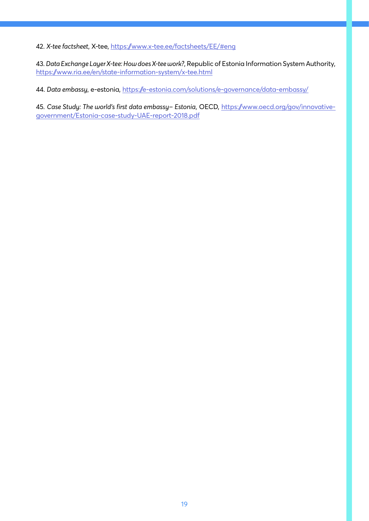42. *X-tee factsheet*, X-tee, https://www.x-tee.ee/factsheets/EE/#eng

43. *Data Exchange Layer X-tee: How does X-tee work?*, Republic of Estonia Information System Authority, https://www.ria.ee/en/state-information-system/x-tee.html

44. *Data embassy*, e-estonia, https://e-estonia.com/solutions/e-governance/data-embassy/

45. *Case Study: The world's first data embassy– Estonia*, OECD, https://www.oecd.org/gov/innovativegovernment/Estonia-case-study-UAE-report-2018.pdf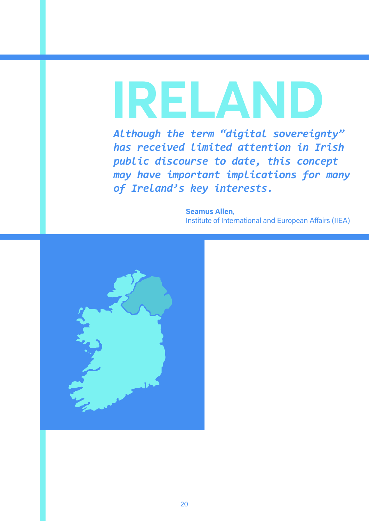# **IRELAND**

*Although the term "digital sovereignty" has received limited attention in Irish public discourse to date, this concept may have important implications for many of Ireland's key interests.* 

> **Seamus Allen**, Institute of International and European Affairs (IIEA)

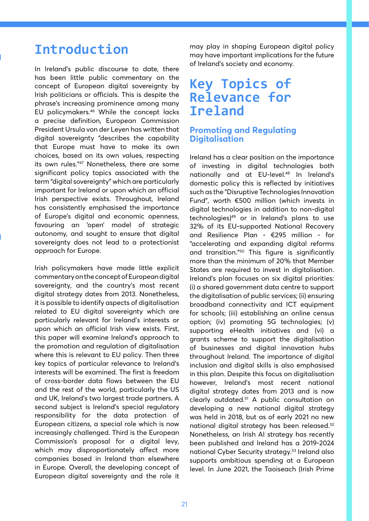# **Introduction**

In Ireland's public discourse to date, there has been little public commentary on the concept of European digital sovereignty by Irish politicians or officials. This is despite the phrase's increasing prominence among many EU policymakers.46 While the concept lacks a precise definition, European Commission President Ursula von der Leyen has written that digital sovereignty "describes the capability that Europe must have to make its own choices, based on its own values, respecting its own rules."47 Nonetheless, there are some significant policy topics associated with the term "digital sovereignty" which are particularly important for Ireland or upon which an official Irish perspective exists. Throughout, Ireland has consistently emphasised the importance of Europe's digital and economic openness, favouring an 'open' model of strategic autonomy, and sought to ensure that digital sovereignty does not lead to a protectionist approach for Europe.

Irish policymakers have made little explicit commentary on the concept of European digital sovereignty, and the country's most recent digital strategy dates from 2013. Nonetheless, it is possible to identify aspects of digitalisation related to EU digital sovereignty which are particularly relevant for Ireland's interests or upon which an official Irish view exists. First, this paper will examine Ireland's approach to the promotion and regulation of digitalisation where this is relevant to EU policy. Then three key topics of particular relevance to Ireland's interests will be examined. The first is freedom of cross-border data flows between the EU and the rest of the world, particularly the US and UK, Ireland's two largest trade partners. A second subject is Ireland's special regulatory responsibility for the data protection of European citizens, a special role which is now increasingly challenged. Third is the European Commission's proposal for a digital levy, which may disproportionately affect more companies based in Ireland than elsewhere in Europe. Overall, the developing concept of European digital sovereignty and the role it

may play in shaping European digital policy may have important implications for the future of Ireland's society and economy.

# **Key Topics of Relevance for Ireland**

#### **Promoting and Regulating Digitalisation**

Ireland has a clear position on the importance of investing in digital technologies both nationally and at EU-level.48 In Ireland's domestic policy this is reflected by initiatives such as the "Disruptive Technologies Innovation Fund", worth €500 million (which invests in digital technologies in addition to non-digital technologies)49 or in Ireland's plans to use 32% of its EU-supported National Recovery and Resilience Plan - €295 million - for "accelerating and expanding digital reforms and transition."50 This figure is significantly more than the minimum of 20% that Member States are required to invest in digitalisation. Ireland's plan focuses on six digital priorities: (i) a shared government data centre to support the digitalisation of public services; (ii) ensuring broadband connectivity and ICT equipment for schools; (iii) establishing an online census option; (iv) promoting 5G technologies; (v) supporting eHealth initiatives and (vi) a grants scheme to support the digitalisation of businesses and digital innovation hubs throughout Ireland. The importance of digital inclusion and digital skills is also emphasised in this plan. Despite this focus on digitalisation however, Ireland's most recent national digital strategy dates from 2013 and is now clearly outdated.51 A public consultation on developing a new national digital strategy was held in 2018, but as of early 2021 no new national digital strategy has been released.52 Nonetheless, an Irish AI strategy has recently been published and Ireland has a 2019-2024 national Cyber Security strategy.53 Ireland also supports ambitious spending at a European level. In June 2021, the Taoiseach (Irish Prime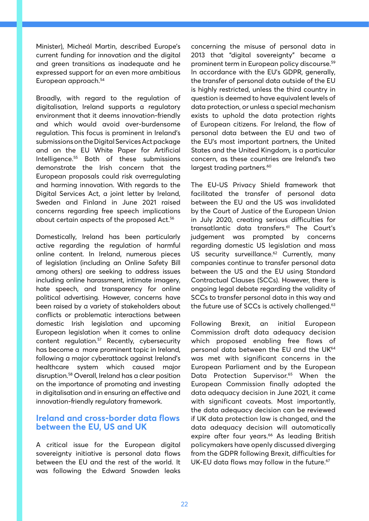Minister), Micheál Martin, described Europe's current funding for innovation and the digital and green transitions as inadequate and he expressed support for an even more ambitious European approach.54

Broadly, with regard to the regulation of digitalisation, Ireland supports a regulatory environment that it deems innovation-friendly and which would avoid over-burdensome regulation. This focus is prominent in Ireland's submissions on the Digital Services Act package and on the EU White Paper for Artificial Intelligence.55 Both of these submissions demonstrate the Irish concern that the European proposals could risk overregulating and harming innovation. With regards to the Digital Services Act, a joint letter by Ireland, Sweden and Finland in June 2021 raised concerns regarding free speech implications about certain aspects of the proposed Act.<sup>56</sup>

Domestically, Ireland has been particularly active regarding the regulation of harmful online content. In Ireland, numerous pieces of legislation (including an Online Safety Bill among others) are seeking to address issues including online harassment, intimate imagery, hate speech, and transparency for online political advertising. However, concerns have been raised by a variety of stakeholders about conflicts or problematic interactions between domestic Irish legislation and upcoming European legislation when it comes to online content regulation.57 Recently, cybersecurity has become a more prominent topic in Ireland, following a major cyberattack against Ireland's healthcare system which caused major disruption.58 Overall, Ireland has a clear position on the importance of promoting and investing in digitalisation and in ensuring an effective and innovation-friendly regulatory framework.

#### **Ireland and cross-border data flows between the EU, US and UK**

A critical issue for the European digital sovereignty initiative is personal data flows between the EU and the rest of the world. It was following the Edward Snowden leaks concerning the misuse of personal data in 2013 that "digital sovereignty" became a prominent term in European policy discourse.59 In accordance with the EU's GDPR, generally, the transfer of personal data outside of the EU is highly restricted, unless the third country in question is deemed to have equivalent levels of data protection, or unless a special mechanism exists to uphold the data protection rights of European citizens. For Ireland, the flow of personal data between the EU and two of the EU's most important partners, the United States and the United Kingdom, is a particular concern, as these countries are Ireland's two largest trading partners.<sup>60</sup>

The EU-US Privacy Shield framework that facilitated the transfer of personal data between the EU and the US was invalidated by the Court of Justice of the European Union in July 2020, creating serious difficulties for transatlantic data transfers.61 The Court's judgement was prompted by concerns regarding domestic US legislation and mass US security surveillance.<sup>62</sup> Currently, many companies continue to transfer personal data between the US and the EU using Standard Contractual Clauses (SCCs). However, there is ongoing legal debate regarding the validity of SCCs to transfer personal data in this way and the future use of SCCs is actively challenged.63

Following Brexit, an initial European Commission draft data adequacy decision which proposed enabling free flows of personal data between the EU and the UK<sup>64</sup> was met with significant concerns in the European Parliament and by the European Data Protection Supervisor.<sup>65</sup> When the European Commission finally adopted the data adequacy decision in June 2021, it came with significant caveats. Most importantly, the data adequacy decision can be reviewed if UK data protection law is changed, and the data adequacy decision will automatically expire after four years.<sup>66</sup> As leading British policymakers have openly discussed diverging from the GDPR following Brexit, difficulties for UK-EU data flows may follow in the future.<sup>67</sup>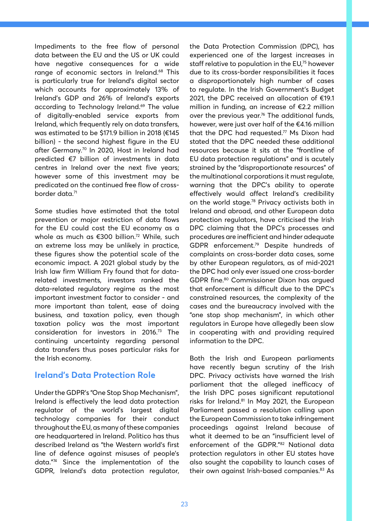Impediments to the free flow of personal data between the EU and the US or UK could have negative consequences for a wide range of economic sectors in Ireland.<sup>68</sup> This is particularly true for Ireland's digital sector which accounts for approximately 13% of Ireland's GDP and 26% of Ireland's exports according to Technology Ireland.<sup>69</sup> The value of digitally-enabled service exports from Ireland, which frequently rely on data transfers, was estimated to be \$171.9 billion in 2018 (€145 billion) - the second highest figure in the EU after Germany.<sup>70</sup> In 2020, Host in Ireland had predicted €7 billion of investments in data centres in Ireland over the next five years; however some of this investment may be predicated on the continued free flow of crossborder data.71

Some studies have estimated that the total prevention or major restriction of data flows for the EU could cost the EU economy as a whole as much as €300 billion.<sup>72</sup> While, such an extreme loss may be unlikely in practice, these figures show the potential scale of the economic impact. A 2021 global study by the Irish law firm William Fry found that for datarelated investments, investors ranked the data-related regulatory regime as the most important investment factor to consider - and more important than talent, ease of doing business, and taxation policy, even though taxation policy was the most important consideration for investors in 2016.73 The continuing uncertainty regarding personal data transfers thus poses particular risks for the Irish economy.

#### **Ireland's Data Protection Role**

Under the GDPR's "One Stop Shop Mechanism", Ireland is effectively the lead data protection regulator of the world's largest digital technology companies for their conduct throughout the EU, as many of these companies are headquartered in Ireland. Politico has thus described Ireland as "the Western world's first line of defence against misuses of people's data."74 Since the implementation of the GDPR, Ireland's data protection regulator, the Data Protection Commission (DPC), has experienced one of the largest increases in staff relative to population in the EU,<sup>75</sup> however due to its cross-border responsibilities it faces a disproportionately high number of cases to regulate. In the Irish Government's Budget 2021, the DPC received an allocation of €19.1 million in funding, an increase of €2.2 million over the previous year.<sup>76</sup> The additional funds, however, were just over half of the €4.16 million that the DPC had requested.<sup>77</sup> Ms Dixon had stated that the DPC needed these additional resources because it sits at the "frontline of EU data protection regulations" and is acutely strained by the "disproportionate resources" of the multinational corporations it must regulate, warning that the DPC's ability to operate effectively would affect Ireland's credibility on the world stage.<sup>78</sup> Privacy activists both in Ireland and abroad, and other European data protection regulators, have criticised the Irish DPC claiming that the DPC's processes and procedures are inefficient and hinder adequate GDPR enforcement.79 Despite hundreds of complaints on cross-border data cases, some by other European regulators, as of mid-2021 the DPC had only ever issued one cross-border GDPR fine.80 Commissioner Dixon has argued that enforcement is difficult due to the DPC's constrained resources, the complexity of the cases and the bureaucracy involved with the "one stop shop mechanism", in which other regulators in Europe have allegedly been slow in cooperating with and providing required information to the DPC.

Both the Irish and European parliaments have recently begun scrutiny of the Irish DPC. Privacy activists have warned the Irish parliament that the alleged inefficacy of the Irish DPC poses significant reputational risks for Ireland.<sup>81</sup> In May 2021, the European Parliament passed a resolution calling upon the European Commission to take infringement proceedings against Ireland because of what it deemed to be an "insufficient level of enforcement of the GDPR."82 National data protection regulators in other EU states have also sought the capability to launch cases of their own against Irish-based companies.<sup>83</sup> As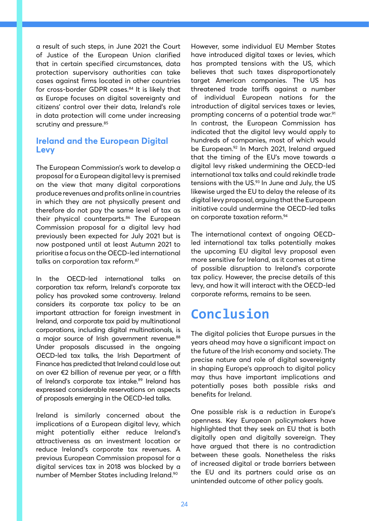a result of such steps, in June 2021 the Court of Justice of the European Union clarified that in certain specified circumstances, data protection supervisory authorities can take cases against firms located in other countries for cross-border GDPR cases.<sup>84</sup> It is likely that as Europe focuses on digital sovereignty and citizens' control over their data, Ireland's role in data protection will come under increasing scrutiny and pressure.<sup>85</sup>

#### **Ireland and the European Digital Levy**

The European Commission's work to develop a proposal for a European digital levy is premised on the view that many digital corporations produce revenues and profits online in countries in which they are not physically present and therefore do not pay the same level of tax as their physical counterparts.<sup>86</sup> The European Commission proposal for a digital levy had previously been expected for July 2021 but is now postponed until at least Autumn 2021 to prioritise a focus on the OECD-led international talks on corporation tax reform.<sup>87</sup>

In the OECD-led international talks on corporation tax reform, Ireland's corporate tax policy has provoked some controversy. Ireland considers its corporate tax policy to be an important attraction for foreign investment in Ireland, and corporate tax paid by multinational corporations, including digital multinationals, is a major source of Irish government revenue.<sup>88</sup> Under proposals discussed in the ongoing OECD-led tax talks, the Irish Department of Finance has predicted that Ireland could lose out on over €2 billion of revenue per year, or a fifth of Ireland's corporate tax intake.<sup>89</sup> Ireland has expressed considerable reservations on aspects of proposals emerging in the OECD-led talks.

Ireland is similarly concerned about the implications of a European digital levy, which might potentially either reduce Ireland's attractiveness as an investment location or reduce Ireland's corporate tax revenues. A previous European Commission proposal for a digital services tax in 2018 was blocked by a number of Member States including Ireland.90

However, some individual EU Member States have introduced digital taxes or levies, which has prompted tensions with the US, which believes that such taxes disproportionately target American companies. The US has threatened trade tariffs against a number of individual European nations for the introduction of digital services taxes or levies, prompting concerns of a potential trade war.<sup>91</sup> In contrast, the European Commission has indicated that the digital levy would apply to hundreds of companies, most of which would be European.92 In March 2021, Ireland argued that the timing of the EU's move towards a digital levy risked undermining the OECD-led international tax talks and could rekindle trade tensions with the US.<sup>93</sup> In June and July, the US likewise urged the EU to delay the release of its digital levy proposal, arguing that the European initiative could undermine the OECD-led talks on corporate taxation reform.94

The international context of ongoing OECDled international tax talks potentially makes the upcoming EU digital levy proposal even more sensitive for Ireland, as it comes at a time of possible disruption to Ireland's corporate tax policy. However, the precise details of this levy, and how it will interact with the OECD-led corporate reforms, remains to be seen.

# **Conclusion**

The digital policies that Europe pursues in the years ahead may have a significant impact on the future of the Irish economy and society. The precise nature and role of digital sovereignty in shaping Europe's approach to digital policy may thus have important implications and potentially poses both possible risks and benefits for Ireland.

One possible risk is a reduction in Europe's openness. Key European policymakers have highlighted that they seek an EU that is both digitally open and digitally sovereign. They have argued that there is no contradiction between these goals. Nonetheless the risks of increased digital or trade barriers between the EU and its partners could arise as an unintended outcome of other policy goals.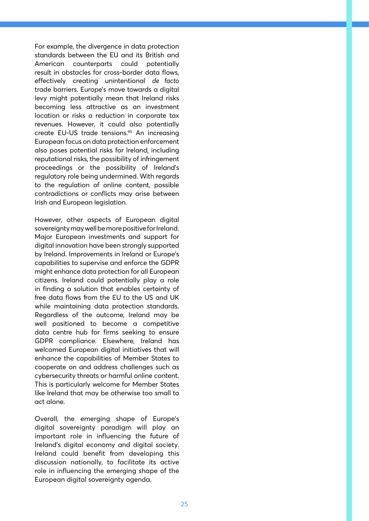For example, the divergence in data protection standards between the EU and its British and American counterparts could potentially result in obstacles for cross-border data flows, effectively creating unintentional *de facto* trade barriers. Europe's move towards a digital levy might potentially mean that Ireland risks becoming less attractive as an investment location or risks a reduction in corporate tax revenues. However, it could also potentially create EU-US trade tensions.<sup>95</sup> An increasing European focus on data protection enforcement also poses potential risks for Ireland, including reputational risks, the possibility of infringement proceedings or the possibility of Ireland's regulatory role being undermined. With regards to the regulation of online content, possible contradictions or conflicts may arise between Irish and European legislation.

However, other aspects of European digital sovereignty may well be more positive for Ireland. Major European investments and support for digital innovation have been strongly supported by Ireland. Improvements in Ireland or Europe's capabilities to supervise and enforce the GDPR might enhance data protection for all European citizens. Ireland could potentially play a role in finding a solution that enables certainty of free data flows from the EU to the US and UK while maintaining data protection standards. Regardless of the outcome, Ireland may be well positioned to become a competitive data centre hub for firms seeking to ensure GDPR compliance. Elsewhere, Ireland has welcomed European digital initiatives that will enhance the capabilities of Member States to cooperate on and address challenges such as cybersecurity threats or harmful online content. This is particularly welcome for Member States like Ireland that may be otherwise too small to act alone.

Overall, the emerging shape of Europe's digital sovereignty paradigm will play an important role in influencing the future of Ireland's digital economy and digital society. Ireland could benefit from developing this discussion nationally, to facilitate its active role in influencing the emerging shape of the European digital sovereignty agenda.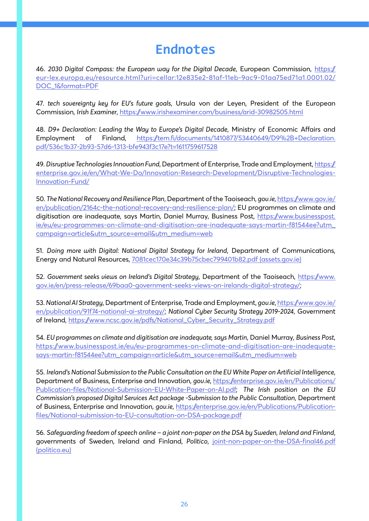# **Endnotes**

46. *2030 Digital Compass: the European way for the Digital Decade*, European Commission, https:// eur-lex.europa.eu/resource.html?uri=cellar:12e835e2-81af-11eb-9ac9-01aa75ed71a1.0001.02/ DOC\_1&format=PDF

47. *tech sovereignty key for EU's future goals*, Ursula von der Leyen, President of the European Commission, *Irish Examiner*, https://www.irishexaminer.com/business/arid-30982505.html

48. *D9+ Declaration: Leading the Way to Europe's Digital Decade*, Ministry of Economic Affairs and Employment of Finland, https://tem.fi/documents/1410877/53440649/D9%2B+Declaration. pdf/536c1b37-2b93-57d6-1313-bfe943f3c17e?t=1611759617528

49. *Disruptive Technologies Innovation Fund*, Department of Enterprise, Trade and Employment, https:// enterprise.gov.ie/en/What-We-Do/Innovation-Research-Development/Disruptive-Technologies-Innovation-Fund/

50. *The National Recovery and Resilience Plan*, Department of the Taoiseach, *gov.ie*, https://www.gov.ie/ en/publication/2164c-the-national-recovery-and-resilience-plan/; EU programmes on climate and digitisation are inadequate, says Martin, Daniel Murray, Business Post, https://www.businesspost. ie/eu/eu-programmes-on-climate-and-digitisation-are-inadequate-says-martin-f81544ee?utm\_ campaign=article&utm\_source=email&utm\_medium=web

51. *Doing more with Digital: National Digital Strategy for Ireland*, Department of Communications, Energy and Natural Resources, 7081cec170e34c39b75cbec799401b82.pdf (assets.gov.ie)

52. *Government seeks views on Ireland's Digital Strategy*, Department of the Taoiseach, https://www. gov.ie/en/press-release/69baa0-government-seeks-views-on-irelands-digital-strategy/;

53. *National AI Strategy*, Department of Enterprise, Trade and Employment, *gov.ie*, https://www.gov.ie/ en/publication/91f74-national-ai-strategy/; *National Cyber Security Strategy 2019-2024*, Government of Ireland, https://www.ncsc.gov.ie/pdfs/National\_Cyber\_Security\_Strategy.pdf

54. *EU programmes on climate and digitisation are inadequate, says Martin*, Daniel Murray, *Business Post*, https://www.businesspost.ie/eu/eu-programmes-on-climate-and-digitisation-are-inadequatesays-martin-f81544ee?utm\_campaign=article&utm\_source=email&utm\_medium=web

55. *Ireland's National Submission to the Public Consultation on the EU White Paper on Artificial Intelligence*, Department of Business, Enterprise and Innovation, *gov.ie*, https://enterprise.gov.ie/en/Publications/ Publication-files/National-Submission-EU-White-Paper-on-AI.pdf; *The Irish position on the EU Commission's proposed Digital Services Act package -Submission to the Public Consultation*, Department of Business, Enterprise and Innovation, *gov.ie*, https://enterprise.gov.ie/en/Publications/Publicationfiles/National-submission-to-EU-consultation-on-DSA-package.pdf

56. *Safeguarding freedom of speech online – a joint non-paper on the DSA by Sweden, Ireland and Finland*, governments of Sweden, Ireland and Finland, *Politico*, joint-non-paper-on-the-DSA-final46.pdf (politico.eu)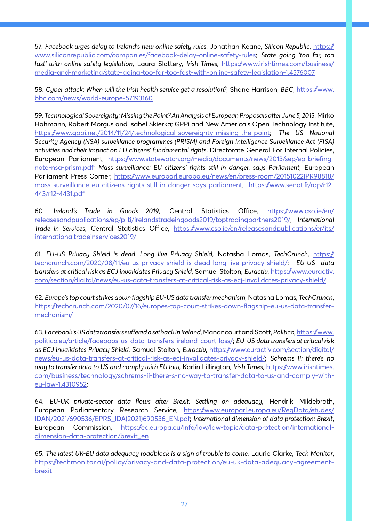57. *Facebook urges delay to Ireland's new online safety rules*, Jonathan Keane, *Silicon Republic*, https:// www.siliconrepublic.com/companies/facebook-delay-online-safety-rules; *State going 'too far, too fast' with online safety legislation*, Laura Slattery, *Irish Times*, https://www.irishtimes.com/business/ media-and-marketing/state-going-too-far-too-fast-with-online-safety-legislation-1.4576007

58. *Cyber attack: When will the Irish health service get a resolution?*, Shane Harrison, *BBC*, https://www. bbc.com/news/world-europe-57193160

59. *Technological Sovereignty: Missing the Point? An Analysis of European Proposals after June 5, 2013*, Mirko Hohmann, Robert Morgus and Isabel Skierka; GPPi and New America's Open Technology Institute, https://www.gppi.net/2014/11/24/technological-sovereignty-missing-the-point; *The US National Security Agency (NSA) surveillance programmes (PRISM) and Foreign Intelligence Surveillance Act (FISA) activities and their impact on EU citizens' fundamental rights*, Directorate General For Internal Policies, European Parliament, https://www.statewatch.org/media/documents/news/2013/sep/ep-briefingnote-nsa-prism.pdf; *Mass surveillance: EU citizens' rights still in danger, says Parliament*, European Parliament Press Corner, https://www.europarl.europa.eu/news/en/press-room/20151022IPR98818/ mass-surveillance-eu-citizens-rights-still-in-danger-says-parliament; https://www.senat.fr/rap/r12- 443/r12-4431.pdf

60. *Ireland's Trade in Goods 2019*, Central Statistics Office, https://www.cso.ie/en/ releasesandpublications/ep/p-ti/irelandstradeingoods2019/toptradingpartners2019/; *International Trade in Services*, Central Statistics Office, https://www.cso.ie/en/releasesandpublications/er/its/ internationaltradeinservices2019/

61. *EU-US Privacy Shield is dead. Long live Privacy Shield*, Natasha Lomas, *TechCrunch*, https:// techcrunch.com/2020/08/11/eu-us-privacy-shield-is-dead-long-live-privacy-shield/; *EU-US data transfers at critical risk as ECJ invalidates Privacy Shield*, Samuel Stolton, *Euractiv*, https://www.euractiv. com/section/digital/news/eu-us-data-transfers-at-critical-risk-as-ecj-invalidates-privacy-shield/

62. *Europe's top court strikes down flagship EU-US data transfer mechanism*, Natasha Lomas, *TechCrunch*, https://techcrunch.com/2020/07/16/europes-top-court-strikes-down-flagship-eu-us-data-transfermechanism/

63. *Facebook's US data transfers suffered a setback in Ireland*, Manancourt and Scott, *Politico*, https://www. politico.eu/article/faceboos-us-data-transfers-ireland-court-loss/; *EU-US data transfers at critical risk as ECJ invalidates Privacy Shield*, Samuel Stolton, *Euractiv*, https://www.euractiv.com/section/digital/ news/eu-us-data-transfers-at-critical-risk-as-ecj-invalidates-privacy-shield/; *Schrems II: there's no way to transfer data to US and comply with EU law*, Karlin Lillington, *Irish Times*, https://www.irishtimes. com/business/technology/schrems-ii-there-s-no-way-to-transfer-data-to-us-and-comply-witheu-law-1.4310952;

64. *EU-UK private-sector data flows after Brexit: Settling on adequacy*, Hendrik Mildebrath, European Parliamentary Research Service, https://www.europarl.europa.eu/RegData/etudes/ IDAN/2021/690536/EPRS\_IDA(2021)690536\_EN.pdf; *International dimension of data protection: Brexit*, European Commission, https://ec.europa.eu/info/law/law-topic/data-protection/internationaldimension-data-protection/brexit\_en

65. *The latest UK-EU data adequacy roadblock is a sign of trouble to come*, Laurie Clarke, *Tech Monitor*, https://techmonitor.ai/policy/privacy-and-data-protection/eu-uk-data-adequacy-agreementbrexit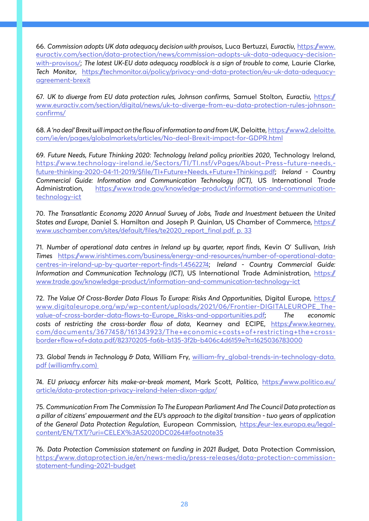66. *Commission adopts UK data adequacy decision with provisos*, Luca Bertuzzi, *Euractiv*, https://www. euractiv.com/section/data-protection/news/commission-adopts-uk-data-adequacy-decisionwith-provisos/; *The latest UK-EU data adequacy roadblock is a sign of trouble to come*, Laurie Clarke, *Tech Monitor*, https://techmonitor.ai/policy/privacy-and-data-protection/eu-uk-data-adequacyagreement-brexit

67. *UK to diverge from EU data protection rules, Johnson confirms*, Samuel Stolton, *Euractiv*, https:// www.euractiv.com/section/digital/news/uk-to-diverge-from-eu-data-protection-rules-johnsonconfirms/

68. *A 'no deal' Brexit will impact on the flow of information to and from UK*, Deloitte, https://www2.deloitte. com/ie/en/pages/globalmarkets/articles/No-deal-Brexit-impact-for-GDPR.html

69. *Future Needs, Future Thinking 2020: Technology Ireland policy priorities 2020*, Technology Ireland, https://www.technology-ireland.ie/Sectors/TI/TI.nsf/vPages/About~Press~future-needs, future-thinking-2020-04-11-2019/\$file/TI+Future+Needs,+Future+Thinking.pdf; *Ireland - Country Commercial Guide: Information and Communication Technology (ICT)*, US International Trade Administration, https://www.trade.gov/knowledge-product/information-and-communicationtechnology-ict

70. *The Transatlantic Economy 2020 Annual Survey of Jobs, Trade and Investment between the United States and Europe*, Daniel S. Hamilton and Joseph P. Quinlan, US Chamber of Commerce, https:// www.uschamber.com/sites/default/files/te2020\_report\_final.pdf, p. 33

71. *Number of operational data centres in Ireland up by quarter, report finds*, Kevin O' Sullivan, *Irish Times* https://www.irishtimes.com/business/energy-and-resources/number-of-operational-datacentres-in-ireland-up-by-quarter-report-finds-1.4562274; *Ireland - Country Commercial Guide: Information and Communication Technology (ICT)*, US International Trade Administration, https:// www.trade.gov/knowledge-product/information-and-communication-technology-ict

72. *The Value Of Cross-Border Data Flows To Europe: Risks And Opportunities*, Digital Europe, https:// www.digitaleurope.org/wp/wp-content/uploads/2021/06/Frontier-DIGITALEUROPE\_Thevalue-of-cross-border-data-flows-to-Europe\_Risks-and-opportunities.pdf; *The economic costs of restricting the cross-border flow of data*, Kearney and ECIPE, https://www.kearney. com/documents/3677458/161343923/The+economic+costs+of+restricting+the+crossborder+flow+of+data.pdf/82370205-fa6b-b135-3f2b-b406c4d6159e?t=1625036783000

73. *Global Trends in Technology & Data*, William Fry, william-fry\_global-trends-in-technology-data. pdf (williamfry.com)

74. *EU privacy enforcer hits make-or-break moment*, Mark Scott, *Politico*, https://www.politico.eu/ article/data-protection-privacy-ireland-helen-dixon-gdpr/

75. *Communication From The Commission To The European Parliament And The Council Data protection as a pillar of citizens' empowerment and the EU's approach to the digital transition - two years of application of the General Data Protection Regulation*, European Commission, https://eur-lex.europa.eu/legalcontent/EN/TXT/?uri=CELEX%3A52020DC0264#footnote35

76. *Data Protection Commission statement on funding in 2021 Budget*, Data Protection Commission, https://www.dataprotection.ie/en/news-media/press-releases/data-protection-commissionstatement-funding-2021-budget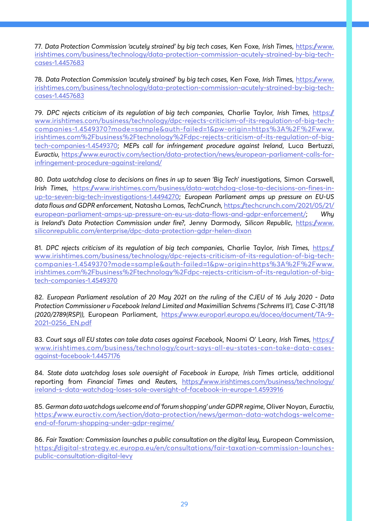77. *Data Protection Commission 'acutely strained' by big tech cases*, Ken Foxe, *Irish Times*, https://www. irishtimes.com/business/technology/data-protection-commission-acutely-strained-by-big-techcases-1.4457683

78. *Data Protection Commission 'acutely strained' by big tech cases*, Ken Foxe, *Irish Times*, https://www. irishtimes.com/business/technology/data-protection-commission-acutely-strained-by-big-techcases-1.4457683

79. *DPC rejects criticism of its regulation of big tech companies*, Charlie Taylor, *Irish Times*, https:// www.irishtimes.com/business/technology/dpc-rejects-criticism-of-its-regulation-of-big-techcompanies-1.4549370?mode=sample&auth-failed=1&pw-origin=https%3A%2F%2Fwww. irishtimes.com%2Fbusiness%2Ftechnology%2Fdpc-rejects-criticism-of-its-regulation-of-bigtech-companies-1.4549370; *MEPs call for infringement procedure against Ireland*, Luca Bertuzzi, *Euractiv*, https://www.euractiv.com/section/data-protection/news/european-parliament-calls-forinfringement-procedure-against-ireland/

80. *Data watchdog close to decisions on fines in up to seven 'Big Tech' investigations*, Simon Carswell, *Irish Times*, https://www.irishtimes.com/business/data-watchdog-close-to-decisions-on-fines-inup-to-seven-big-tech-investigations-1.4494270; *European Parliament amps up pressure on EU-US data flows and GDPR enforcement*, Natasha Lomas, *TechCrunch*, https://techcrunch.com/2021/05/21/ european-parliament-amps-up-pressure-on-eu-us-data-flows-and-gdpr-enforcement/; *Why is Ireland's Data Protection Commission under fire?*, Jenny Darmody, *Silicon Republic*, https://www. siliconrepublic.com/enterprise/dpc-data-protection-gdpr-helen-dixon

81. *DPC rejects criticism of its regulation of big tech companies*, Charlie Taylor, *Irish Times*, https:// www.irishtimes.com/business/technology/dpc-rejects-criticism-of-its-regulation-of-big-techcompanies-1.4549370?mode=sample&auth-failed=1&pw-origin=https%3A%2F%2Fwww. irishtimes.com%2Fbusiness%2Ftechnology%2Fdpc-rejects-criticism-of-its-regulation-of-bigtech-companies-1.4549370

82. *European Parliament resolution of 20 May 2021 on the ruling of the CJEU of 16 July 2020 - Data Protection Commissioner v Facebook Ireland Limited and Maximillian Schrems ('Schrems II'), Case C-311/18 (2020/2789(RSP))*, European Parliament, https://www.europarl.europa.eu/doceo/document/TA-9- 2021-0256\_EN.pdf

83. *Court says all EU states can take data cases against Facebook*, Naomi O' Leary, *Irish Times*, https:// www.irishtimes.com/business/technology/court-says-all-eu-states-can-take-data-casesagainst-facebook-1.4457176

84. *State data watchdog loses sole oversight of Facebook in Europe*, *Irish Times* article, additional reporting from *Financial Times* and *Reuters*, https://www.irishtimes.com/business/technology/ ireland-s-data-watchdog-loses-sole-oversight-of-facebook-in-europe-1.4593916

85. *German data watchdogs welcome end of 'forum shopping' under GDPR regime*, Oliver Noyan, *Euractiv*, https://www.euractiv.com/section/data-protection/news/german-data-watchdogs-welcomeend-of-forum-shopping-under-gdpr-regime/

86. *Fair Taxation: Commission launches a public consultation on the digital levy*, European Commission, https://digital-strategy.ec.europa.eu/en/consultations/fair-taxation-commission-launchespublic-consultation-digital-levy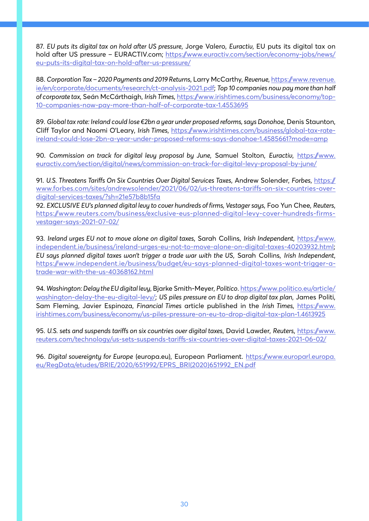87. *EU puts its digital tax on hold after US pressure*, Jorge Valero, *Euractiv*, EU puts its digital tax on hold after US pressure - EURACTIV.com; https://www.euractiv.com/section/economy-jobs/news/ eu-puts-its-digital-tax-on-hold-after-us-pressure/

88. *Corporation Tax – 2020 Payments and 2019 Returns*, Larry McCarthy, *Revenue*, https://www.revenue. ie/en/corporate/documents/research/ct-analysis-2021.pdf; *Top 10 companies now pay more than half of corporate tax*, Seán McCárthaigh, *Irish Times*, https://www.irishtimes.com/business/economy/top-10-companies-now-pay-more-than-half-of-corporate-tax-1.4553695

89. *Global tax rate: Ireland could lose €2bn a year under proposed reforms, says Donohoe*, Denis Staunton, Cliff Taylor and Naomi O'Leary, *Irish Times*, https://www.irishtimes.com/business/global-tax-rateireland-could-lose-2bn-a-year-under-proposed-reforms-says-donohoe-1.4585661?mode=amp

90. Commission on track for digital levy proposal by June, Samuel Stolton, Euractiv, https://www. euractiv.com/section/digital/news/commission-on-track-for-digital-levy-proposal-by-june/

91. *U.S. Threatens Tariffs On Six Countries Over Digital Services Taxes*, Andrew Solender, *Forbes*, https:// www.forbes.com/sites/andrewsolender/2021/06/02/us-threatens-tariffs-on-six-countries-overdigital-services-taxes/?sh=21e57b8b15fa

92. *EXCLUSIVE EU's planned digital levy to cover hundreds of firms, Vestager says*, Foo Yun Chee, *Reuters*, https://www.reuters.com/business/exclusive-eus-planned-digital-levy-cover-hundreds-firmsvestager-says-2021-07-02/

93. *Ireland urges EU not to move alone on digital taxes*, Sarah Collins, *Irish Independent*, https://www. independent.ie/business/ireland-urges-eu-not-to-move-alone-on-digital-taxes-40203932.html; *EU says planned digital taxes won't trigger a trade war with the US*, Sarah Collins, *Irish Independent*, https://www.independent.ie/business/budget/eu-says-planned-digital-taxes-wont-trigger-atrade-war-with-the-us-40368162.html

94. *Washington: Delay the EU digital levy*, Bjarke Smith-Meyer, *Politico*. https://www.politico.eu/article/ washington-delay-the-eu-digital-levy/; *US piles pressure on EU to drop digital tax plan*, James Politi, Sam Fleming, Javier Espinoza, *Financial Times* article published in the *Irish Times*, https://www. irishtimes.com/business/economy/us-piles-pressure-on-eu-to-drop-digital-tax-plan-1.4613925

95. *U.S. sets and suspends tariffs on six countries over digital taxes*, David Lawder, *Reuters*, https://www. reuters.com/technology/us-sets-suspends-tariffs-six-countries-over-digital-taxes-2021-06-02/

96. Digital sovereignty for Europe (europa.eu), European Parliament. https://www.europarl.europa. eu/RegData/etudes/BRIE/2020/651992/EPRS\_BRI(2020)651992\_EN.pdf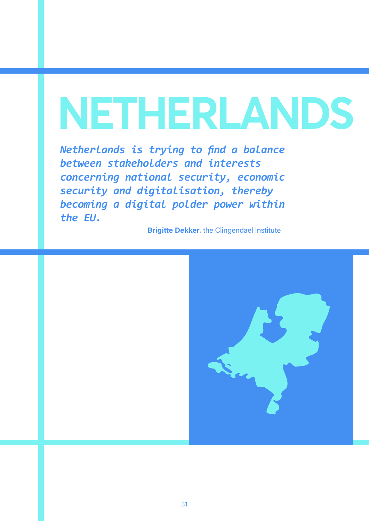# **NETHERLANDS**

*Netherlands is trying to find a balance between stakeholders and interests concerning national security, economic security and digitalisation, thereby becoming a digital polder power within the EU.* 

**Brigitte Dekker**, the Clingendael Institute

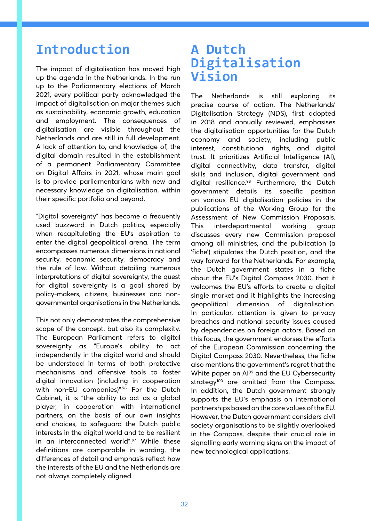# **Introduction**

The impact of digitalisation has moved high up the agenda in the Netherlands. In the run up to the Parliamentary elections of March 2021, every political party acknowledged the impact of digitalisation on major themes such as sustainability, economic growth, education and employment. The consequences of digitalisation are visible throughout the Netherlands and are still in full development. A lack of attention to, and knowledge of, the digital domain resulted in the establishment of a permanent Parliamentary Committee on Digital Affairs in 2021, whose main goal is to provide parliamentarians with new and necessary knowledge on digitalisation, within their specific portfolio and beyond.

"Digital sovereignty" has become a frequently used buzzword in Dutch politics, especially when recapitulating the EU's aspiration to enter the digital geopolitical arena. The term encompasses numerous dimensions in national security, economic security, democracy and the rule of law. Without detailing numerous interpretations of digital sovereignty, the quest for digital sovereignty is a goal shared by policy-makers, citizens, businesses and nongovernmental organisations in the Netherlands.

This not only demonstrates the comprehensive scope of the concept, but also its complexity. The European Parliament refers to digital sovereignty as "Europe's ability to act independently in the digital world and should be understood in terms of both protective mechanisms and offensive tools to foster digital innovation (including in cooperation with non-EU companies)".96 For the Dutch Cabinet, it is "the ability to act as a global player, in cooperation with international partners, on the basis of our own insights and choices, to safeguard the Dutch public interests in the digital world and to be resilient in an interconnected world".<sup>97</sup> While these definitions are comparable in wording, the differences of detail and emphasis reflect how the interests of the EU and the Netherlands are not always completely aligned.

### **A Dutch Digitalisation Vision**

The Netherlands is still exploring its precise course of action. The Netherlands' Digitalisation Strategy (NDS), first adopted in 2018 and annually reviewed, emphasises the digitalisation opportunities for the Dutch economy and society, including public interest, constitutional rights, and digital trust. It prioritizes Artificial Intelligence (AI), digital connectivity, data transfer, digital skills and inclusion, digital government and digital resilience.<sup>98</sup> Furthermore, the Dutch government details its specific position on various EU digitalisation policies in the publications of the Working Group for the Assessment of New Commission Proposals. This interdepartmental working group discusses every new Commission proposal among all ministries, and the publication (a 'fiche') stipulates the Dutch position, and the way forward for the Netherlands. For example, the Dutch government states in a fiche about the EU's Digital Compass 2030, that it welcomes the EU's efforts to create a digital single market and it highlights the increasing geopolitical dimension of digitalisation. In particular, attention is given to privacy breaches and national security issues caused by dependencies on foreign actors. Based on this focus, the government endorses the efforts of the European Commission concerning the Digital Compass 2030. Nevertheless, the fiche also mentions the government's regret that the White paper on Al<sup>99</sup> and the EU Cybersecurity strategy<sup>100</sup> are omitted from the Compass. In addition, the Dutch government strongly supports the EU's emphasis on international partnerships based on the core values of the EU. However, the Dutch government considers civil society organisations to be slightly overlooked in the Compass, despite their crucial role in signalling early warning signs on the impact of new technological applications.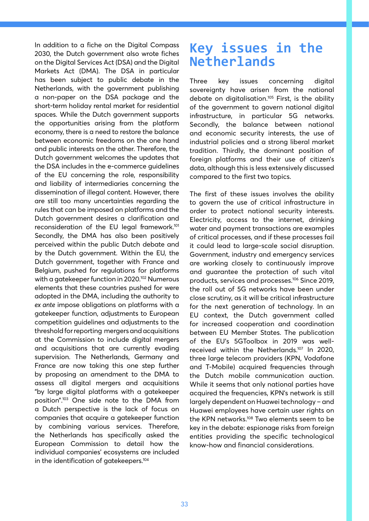In addition to a fiche on the Digital Compass 2030, the Dutch government also wrote fiches on the Digital Services Act (DSA) and the Digital Markets Act (DMA). The DSA in particular has been subject to public debate in the Netherlands, with the government publishing a non-paper on the DSA package and the short-term holiday rental market for residential spaces. While the Dutch government supports the opportunities arising from the platform economy, there is a need to restore the balance between economic freedoms on the one hand and public interests on the other. Therefore, the Dutch government welcomes the updates that the DSA includes in the e-commerce guidelines of the EU concerning the role, responsibility and liability of intermediaries concerning the dissemination of illegal content. However, there are still too many uncertainties regarding the rules that can be imposed on platforms and the Dutch government desires a clarification and reconsideration of the EU legal framework.101 Secondly, the DMA has also been positively perceived within the public Dutch debate and by the Dutch government. Within the EU, the Dutch government, together with France and Belgium, pushed for regulations for platforms with a gatekeeper function in 2020.<sup>102</sup> Numerous elements that these countries pushed for were adopted in the DMA, including the authority to *ex ante* impose obligations on platforms with a gatekeeper function, adjustments to European competition guidelines and adjustments to the threshold for reporting mergers and acquisitions at the Commission to include digital mergers and acquisitions that are currently evading supervision. The Netherlands, Germany and France are now taking this one step further by proposing an amendment to the DMA to assess all digital mergers and acquisitions "by large digital platforms with a gatekeeper position".103 One side note to the DMA from a Dutch perspective is the lack of focus on companies that acquire a gatekeeper function by combining various services. Therefore, the Netherlands has specifically asked the European Commission to detail how the individual companies' ecosystems are included in the identification of gatekeepers.<sup>104</sup>

# **Key issues in the Netherlands**

Three key issues concerning digital sovereignty have arisen from the national debate on digitalisation.105 First, is the ability of the government to govern national digital infrastructure, in particular 5G networks. Secondly, the balance between national and economic security interests, the use of industrial policies and a strong liberal market tradition. Thirdly, the dominant position of foreign platforms and their use of citizen's data, although this is less extensively discussed compared to the first two topics.

The first of these issues involves the ability to govern the use of critical infrastructure in order to protect national security interests. Electricity, access to the internet, drinking water and payment transactions are examples of critical processes, and if these processes fail it could lead to large-scale social disruption. Government, industry and emergency services are working closely to continuously improve and guarantee the protection of such vital products, services and processes.106 Since 2019, the roll out of 5G networks have been under close scrutiny, as it will be critical infrastructure for the next generation of technology. In an EU context, the Dutch government called for increased cooperation and coordination between EU Member States. The publication of the EU's 5GToolbox in 2019 was wellreceived within the Netherlands.107 In 2020, three large telecom providers (KPN, Vodafone and T-Mobile) acquired frequencies through the Dutch mobile communication auction. While it seems that only national parties have acquired the frequencies, KPN's network is still largely dependent on Huawei technology – and Huawei employees have certain user rights on the KPN networks.108 Two elements seem to be key in the debate: espionage risks from foreign entities providing the specific technological know-how and financial considerations.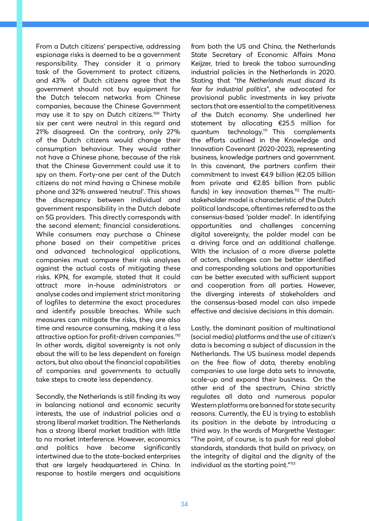From a Dutch citizens' perspective, addressing espionage risks is deemed to be a government responsibility. They consider it a primary task of the Government to protect citizens, and 43% of Dutch citizens agree that the government should not buy equipment for the Dutch telecom networks from Chinese companies, because the Chinese Government may use it to spy on Dutch citizens.109 Thirty six per cent were neutral in this regard and 21% disagreed. On the contrary, only 27% of the Dutch citizens would change their consumption behaviour. They would rather not have a Chinese phone, because of the risk that the Chinese Government could use it to spy on them. Forty-one per cent of the Dutch citizens do not mind having a Chinese mobile phone and 32% answered 'neutral'. This shows the discrepancy between individual and government responsibility in the Dutch debate on 5G providers. This directly corresponds with the second element; financial considerations. While consumers may purchase a Chinese phone based on their competitive prices and advanced technological applications, companies must compare their risk analyses against the actual costs of mitigating these risks. KPN, for example, stated that it could attract more in-house administrators or analyse codes and implement strict monitoring of logfiles to determine the exact procedures and identify possible breaches. While such measures can mitigate the risks, they are also time and resource consuming, making it a less attractive option for profit-driven companies.110 In other words, digital sovereignty is not only about the will to be less dependent on foreign actors, but also about the financial capabilities of companies and governments to actually take steps to create less dependency.

Secondly, the Netherlands is still finding its way in balancing national and economic security interests, the use of industrial policies and a strong liberal market tradition. The Netherlands has a strong liberal market tradition with little to no market interference. However, economics and politics have become significantly intertwined due to the state-backed enterprises that are largely headquartered in China. In response to hostile mergers and acquisitions from both the US and China, the Netherlands State Secretary of Economic Affairs Mona Keijzer, tried to break the taboo surrounding industrial policies in the Netherlands in 2020. Stating that "*the Netherlands must discard its fear for industrial politics*", she advocated for provisional public investments in key private sectors that are essential to the competitiveness of the Dutch economy. She underlined her statement by allocating €25.5 million for quantum technology.111 This complements the efforts outlined in the Knowledge and Innovation Covenant (2020-2023), representing business, knowledge partners and government. In this covenant, the partners confirm their commitment to invest €4.9 billion (€2.05 billion from private and €2.85 billion from public funds) in key innovation themes.<sup>112</sup> The multistakeholder model is characteristic of the Dutch political landscape, oftentimes referred to as the consensus-based 'polder model'. In identifying opportunities and challenges concerning digital sovereignty, the polder model can be a driving force and an additional challenge. With the inclusion of a more diverse palette of actors, challenges can be better identified and corresponding solutions and opportunities can be better executed with sufficient support and cooperation from all parties. However, the diverging interests of stakeholders and the consensus-based model can also impede effective and decisive decisions in this domain.

Lastly, the dominant position of multinational (social media) platforms and the use of citizen's data is becoming a subject of discussion in the Netherlands. The US business model depends on the free flow of data, thereby enabling companies to use large data sets to innovate, scale-up and expand their business. On the other end of the spectrum, China strictly regulates all data and numerous popular Western platforms are banned for state security reasons. Currently, the EU is trying to establish its position in the debate by introducing a third way. In the words of Margrethe Vestager: "The point, of course, is to push for real global standards, standards that build on privacy, on the integrity of digital and the dignity of the individual as the starting point."<sup>113</sup>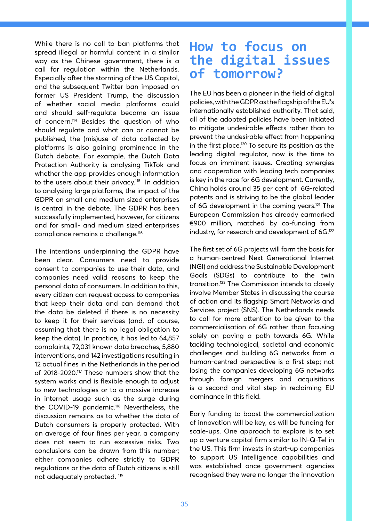While there is no call to ban platforms that spread illegal or harmful content in a similar way as the Chinese government, there is a call for regulation within the Netherlands. Especially after the storming of the US Capitol, and the subsequent Twitter ban imposed on former US President Trump, the discussion of whether social media platforms could and should self-regulate became an issue of concern.114 Besides the question of who should regulate and what can or cannot be published, the (mis)use of data collected by platforms is also gaining prominence in the Dutch debate. For example, the Dutch Data Protection Authority is analysing TikTok and whether the app provides enough information to the users about their privacy.<sup>115</sup> In addition to analysing large platforms, the impact of the GDPR on small and medium sized enterprises is central in the debate. The GDPR has been successfully implemented, however, for citizens and for small- and medium sized enterprises compliance remains a challenge.<sup>116</sup>

The intentions underpinning the GDPR have been clear. Consumers need to provide consent to companies to use their data, and companies need valid reasons to keep the personal data of consumers. In addition to this, every citizen can request access to companies that keep their data and can demand that the data be deleted if there is no necessity to keep it for their services (and, of course, assuming that there is no legal obligation to keep the data). In practice, it has led to 64,857 complaints, 72,031 known data breaches, 5,880 interventions, and 142 investigations resulting in 12 actual fines in the Netherlands in the period of 2018-2020.117 These numbers show that the system works and is flexible enough to adjust to new technologies or to a massive increase in internet usage such as the surge during the COVID-19 pandemic.<sup>118</sup> Nevertheless, the discussion remains as to whether the data of Dutch consumers is properly protected. With an average of four fines per year, a company does not seem to run excessive risks. Two conclusions can be drawn from this number; either companies adhere strictly to GDPR regulations or the data of Dutch citizens is still not adequately protected. 119

## **How to focus on the digital issues of tomorrow?**

The EU has been a pioneer in the field of digital policies, with the GDPR as the flagship of the EU's internationally established authority. That said, all of the adopted policies have been initiated to mitigate undesirable effects rather than to prevent the undesirable effect from happening in the first place.120 To secure its position as the leading digital regulator, now is the time to focus on imminent issues. Creating synergies and cooperation with leading tech companies is key in the race for 6G development. Currently, China holds around 35 per cent of 6G-related patents and is striving to be the global leader of 6G development in the coming years.<sup>121</sup> The European Commission has already earmarked €900 million, matched by co-funding from industry, for research and development of 6G.<sup>122</sup>

The first set of 6G projects will form the basis for a human-centred Next Generational Internet (NGI) and address the Sustainable Development Goals (SDGs) to contribute to the twin transition.123 The Commission intends to closely involve Member States in discussing the course of action and its flagship Smart Networks and Services project (SNS). The Netherlands needs to call for more attention to be given to the commercialisation of 6G rather than focusing solely on paving a path towards 6G. While tackling technological, societal and economic challenges and building 6G networks from a human-centred perspective is a first step; not losing the companies developing 6G networks through foreign mergers and acquisitions is a second and vital step in reclaiming EU dominance in this field.

Early funding to boost the commercialization of innovation will be key, as will be funding for scale-ups. One approach to explore is to set up a venture capital firm similar to IN-Q-Tel in the US. This firm invests in start-up companies to support US Intelligence capabilities and was established once government agencies recognised they were no longer the innovation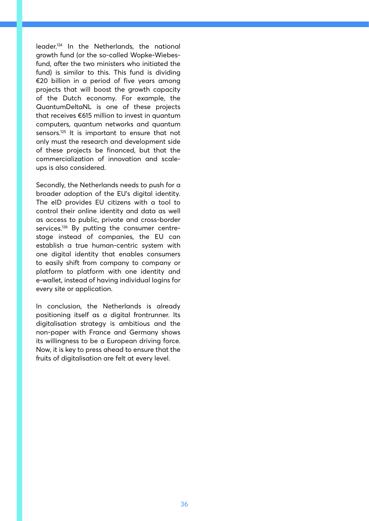leader.124 In the Netherlands, the national growth fund (or the so-called Wopke-Wiebesfund, after the two ministers who initiated the fund) is similar to this. This fund is dividing €20 billion in a period of five years among projects that will boost the growth capacity of the Dutch economy. For example, the QuantumDeltaNL is one of these projects that receives €615 million to invest in quantum computers, quantum networks and quantum sensors.125 It is important to ensure that not only must the research and development side of these projects be financed, but that the commercialization of innovation and scaleups is also considered.

Secondly, the Netherlands needs to push for a broader adoption of the EU's digital identity. The eID provides EU citizens with a tool to control their online identity and data as well as access to public, private and cross-border services.<sup>126</sup> By putting the consumer centrestage instead of companies, the EU can establish a true human-centric system with one digital identity that enables consumers to easily shift from company to company or platform to platform with one identity and e-wallet, instead of having individual logins for every site or application.

In conclusion, the Netherlands is already positioning itself as a digital frontrunner. Its digitalisation strategy is ambitious and the non-paper with France and Germany shows its willingness to be a European driving force. Now, it is key to press ahead to ensure that the fruits of digitalisation are felt at every level.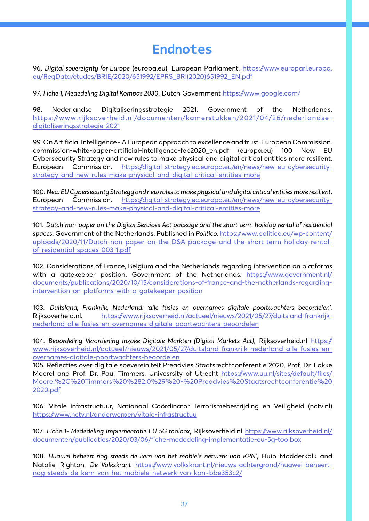# **Endnotes**

96. *Digital sovereignty for Europe* (europa.eu), European Parliament. https://www.europarl.europa. eu/RegData/etudes/BRIE/2020/651992/EPRS\_BRI(2020)651992\_EN.pdf

97. *Fiche 1, Mededeling Digital Kompas 2030*. Dutch Government https://www.google.com/

98. Nederlandse Digitaliseringsstrategie 2021. Government of the Netherlands. https://www.rijksoverheid.nl/documenten/kamerstukken/2021/04/26/nederlandsedigitaliseringsstrategie-2021

99. On Artificial Intelligence - A European approach to excellence and trust. European Commission. commission-white-paper-artificial-intelligence-feb2020\_en.pdf (europa.eu) 100 New EU Cybersecurity Strategy and new rules to make physical and digital critical entities more resilient. European Commission. https://digital-strategy.ec.europa.eu/en/news/new-eu-cybersecuritystrategy-and-new-rules-make-physical-and-digital-critical-entities-more

100. *New EU Cybersecurity Strategy and new rules to make physical and digital critical entities more resilient*. European Commission. https://digital-strategy.ec.europa.eu/en/news/new-eu-cybersecuritystrategy-and-new-rules-make-physical-and-digital-critical-entities-more

101. *Dutch non-paper on the Digital Services Act package and the short-term holiday rental of residential spaces*. Government of the Netherlands. Published in *Politico*. https://www.politico.eu/wp-content/ uploads/2020/11/Dutch-non-paper-on-the-DSA-package-and-the-short-term-holiday-rentalof-residential-spaces-003-1.pdf

102. Considerations of France, Belgium and the Netherlands regarding intervention on platforms with a gatekeeper position. Government of the Netherlands. https://www.government.nl/ documents/publications/2020/10/15/considerations-of-france-and-the-netherlands-regardingintervention-on-platforms-with-a-gatekeeper-position

103. *Duitsland, Frankrijk, Nederland: 'alle fusies en overnames digitale poortwachters beoordelen'.* Rijksoverheid.nl. https://www.rijksoverheid.nl/actueel/nieuws/2021/05/27/duitsland-frankrijknederland-alle-fusies-en-overnames-digitale-poortwachters-beoordelen

104. *Beoordeling Verordening inzake Digitale Markten (Digital Markets Act)*, Rijksoverheid.nl https:// www.rijksoverheid.nl/actueel/nieuws/2021/05/27/duitsland-frankrijk-nederland-alle-fusies-enovernames-digitale-poortwachters-beoordelen

105. Reflecties over digitale soevereiniteit Preadvies Staatsrechtconferentie 2020, Prof. Dr. Lokke Moerel and Prof. Dr. Paul Timmers, Univesrsity of Utrecht https://www.uu.nl/sites/default/files/ Moerel%2C%20Timmers%20%282.0%29%20-%20Preadvies%20Staatsrechtconferentie%20 2020.pdf

106. Vitale infrastructuur, Nationaal Coördinator Terrorismebestrijding en Veiligheid (nctv.nl) https://www.nctv.nl/onderwerpen/vitale-infrastructuu

107. *Fiche 1- Mededeling implementatie EU 5G toolbox*, Rijksoverheid.nl https://www.rijksoverheid.nl/ documenten/publicaties/2020/03/06/fiche-mededeling-implementatie-eu-5g-toolbox

108. *Huawei beheert nog steeds de kern van het mobiele netwerk van KPN*', Huib Modderkolk and Natalie Righton, *De Volkskrant* https://www.volkskrant.nl/nieuws-achtergrond/huawei-beheertnog-steeds-de-kern-van-het-mobiele-netwerk-van-kpn~bbe353c2/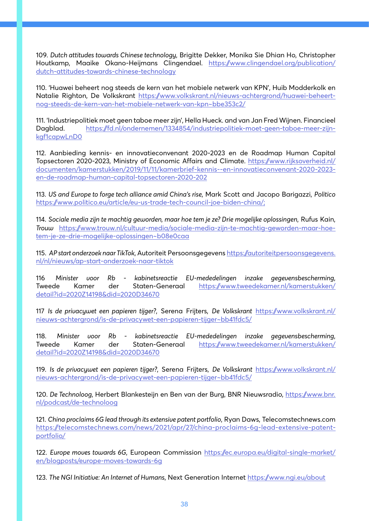109. *Dutch attitudes towards Chinese technology*, Brigitte Dekker, Monika Sie Dhian Ho, Christopher Houtkamp, Maaike Okano-Heijmans Clingendael. https://www.clingendael.org/publication/ dutch-attitudes-towards-chinese-technology

110. 'Huawei beheert nog steeds de kern van het mobiele netwerk van KPN', Huib Modderkolk en Natalie Righton, De Volkskrant https://www.volkskrant.nl/nieuws-achtergrond/huawei-beheertnog-steeds-de-kern-van-het-mobiele-netwerk-van-kpn~bbe353c2/

111. 'Industriepolitiek moet geen taboe meer zijn', Hella Hueck. and van Jan Fred Wijnen. Financieel Dagblad. https://fd.nl/ondernemen/1334854/industriepolitiek-moet-geen-taboe-meer-zijnkgf1capwLnD0

112. Aanbieding kennis- en innovatieconvenant 2020-2023 en de Roadmap Human Capital Topsectoren 2020-2023, Ministry of Economic Affairs and Climate. https://www.rijksoverheid.nl/ documenten/kamerstukken/2019/11/11/kamerbrief-kennis--en-innovatieconvenant-2020-2023 en-de-roadmap-human-capital-topsectoren-2020-202

113. *US and Europe to forge tech alliance amid China's rise*, Mark Scott and Jacopo Barigazzi, *Politico* https://www.politico.eu/article/eu-us-trade-tech-council-joe-biden-china/;

114. *Sociale media zijn te machtig geworden, maar hoe tem je ze? Drie mogelijke oplossingen*, Rufus Kain, *Trouw* https://www.trouw.nl/cultuur-media/sociale-media-zijn-te-machtig-geworden-maar-hoetem-je-ze-drie-mogelijke-oplossingen~b08e0caa

115. *AP start onderzoek naar TikTok*, Autoriteit Persoonsgegevens https://autoriteitpersoonsgegevens. nl/nl/nieuws/ap-start-onderzoek-naar-tiktok

116 *Minister voor Rb - kabinetsreactie EU-mededelingen inzake gegevensbescherming*, Tweede Kamer der Staten-Generaal https://www.tweedekamer.nl/kamerstukken/ detail?id=2020Z14198&did=2020D34670

117 *Is de privacywet een papieren tijger?*, Serena Frijters, *De Volkskrant* https://www.volkskrant.nl/ nieuws-achtergrond/is-de-privacywet-een-papieren-tijger~bb41fdc5/

118. *Minister voor Rb - kabinetsreactie EU-mededelingen inzake gegevensbescherming*, Tweede Kamer der Staten-Generaal https://www.tweedekamer.nl/kamerstukken/ detail?id=2020Z14198&did=2020D34670

119. *Is de privacywet een papieren tijger?*, Serena Frijters, *De Volkskrant* https://www.volkskrant.nl/ nieuws-achtergrond/is-de-privacywet-een-papieren-tijger~bb41fdc5/

120. *De Technoloog*, Herbert Blankesteijn en Ben van der Burg, BNR Nieuwsradio, https://www.bnr. nl/podcast/de-technoloog

121. *China proclaims 6G lead through its extensive patent portfolio*, Ryan Daws, Telecomstechnews.com https://telecomstechnews.com/news/2021/apr/27/china-proclaims-6g-lead-extensive-patentportfolio/

122. *Europe moves towards 6G*, European Commission https://ec.europa.eu/digital-single-market/ en/blogposts/europe-moves-towards-6g

123. *The NGI Initiative: An Internet of Humans*, Next Generation Internet https://www.ngi.eu/about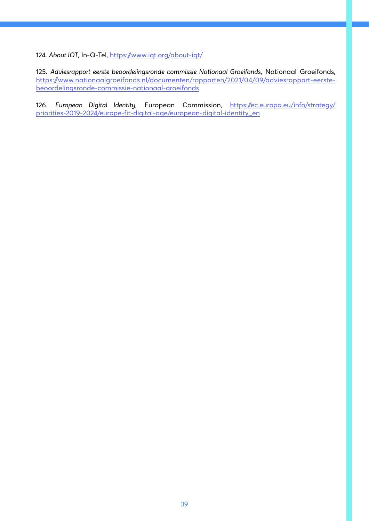124. About IQT, In-Q-Tel, https://www.iqt.org/about-iqt/

125. *Adviesrapport eerste beoordelingsronde commissie Nationaal Groeifonds*, Nationaal Groeifonds, https://www.nationaalgroeifonds.nl/documenten/rapporten/2021/04/09/adviesrapport-eerstebeoordelingsronde-commissie-nationaal-groeifonds

126. *European Digital Identity*, European Commission, https://ec.europa.eu/info/strategy/ priorities-2019-2024/europe-fit-digital-age/european-digital-identity\_en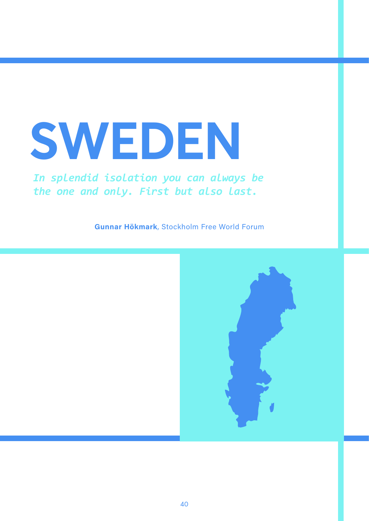# **SWEDEN**

### *In splendid isolation you can always be the one and only. First but also last.*

**Gunnar Hökmark**, Stockholm Free World Forum

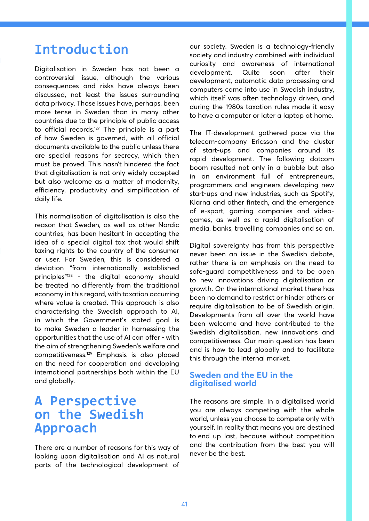# **Introduction**

Digitalisation in Sweden has not been a controversial issue, although the various consequences and risks have always been discussed, not least the issues surrounding data privacy. Those issues have, perhaps, been more tense in Sweden than in many other countries due to the principle of public access to official records.<sup>127</sup> The principle is a part of how Sweden is governed, with all official documents available to the public unless there are special reasons for secrecy, which then must be proved. This hasn't hindered the fact that digitalisation is not only widely accepted but also welcome as a matter of modernity, efficiency, productivity and simplification of daily life.

This normalisation of digitalisation is also the reason that Sweden, as well as other Nordic countries, has been hesitant in accepting the idea of a special digital tax that would shift taxing rights to the country of the consumer or user. For Sweden, this is considered a deviation "from internationally established principles"128 - the digital economy should be treated no differently from the traditional economy in this regard, with taxation occurring where value is created. This approach is also characterising the Swedish approach to AI, in which the Government's stated goal is to make Sweden a leader in harnessing the opportunities that the use of AI can offer - with the aim of strengthening Sweden's welfare and competitiveness.129 Emphasis is also placed on the need for cooperation and developing international partnerships both within the EU and globally.

### **A Perspective on the Swedish Approach**

There are a number of reasons for this way of looking upon digitalisation and AI as natural parts of the technological development of our society. Sweden is a technology-friendly society and industry combined with individual curiosity and awareness of international development. Quite soon after their development, automatic data processing and computers came into use in Swedish industry, which itself was often technology driven, and during the 1980s taxation rules made it easy to have a computer or later a laptop at home.

The IT-development gathered pace via the telecom-company Ericsson and the cluster of start-ups and companies around its rapid development. The following dotcom boom resulted not only in a bubble but also in an environment full of entrepreneurs, programmers and engineers developing new start-ups and new industries, such as Spotify, Klarna and other fintech, and the emergence of e-sport, gaming companies and videogames, as well as a rapid digitalisation of media, banks, travelling companies and so on.

Digital sovereignty has from this perspective never been an issue in the Swedish debate, rather there is an emphasis on the need to safe-guard competitiveness and to be open to new innovations driving digitalisation or growth. On the international market there has been no demand to restrict or hinder others or require digitalisation to be of Swedish origin. Developments from all over the world have been welcome and have contributed to the Swedish digitalisation, new innovations and competitiveness. Our main question has been and is how to lead globally and to facilitate this through the internal market.

#### **Sweden and the EU in the digitalised world**

The reasons are simple. In a digitalised world you are always competing with the whole world, unless you choose to compete only with yourself. In reality that means you are destined to end up last, because without competition and the contribution from the best you will never be the best.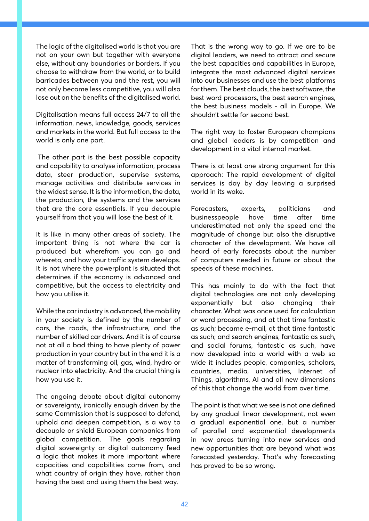The logic of the digitalised world is that you are not on your own but together with everyone else, without any boundaries or borders. If you choose to withdraw from the world, or to build barricades between you and the rest, you will not only become less competitive, you will also lose out on the benefits of the digitalised world.

Digitalisation means full access 24/7 to all the information, news, knowledge, goods, services and markets in the world. But full access to the world is only one part.

The other part is the best possible capacity and capability to analyse information, process data, steer production, supervise systems, manage activities and distribute services in the widest sense. It is the information, the data, the production, the systems and the services that are the core essentials. If you decouple yourself from that you will lose the best of it.

It is like in many other areas of society. The important thing is not where the car is produced but wherefrom you can go and whereto, and how your traffic system develops. It is not where the powerplant is situated that determines if the economy is advanced and competitive, but the access to electricity and how you utilise it.

While the car industry is advanced, the mobility in your society is defined by the number of cars, the roads, the infrastructure, and the number of skilled car drivers. And it is of course not at all a bad thing to have plenty of power production in your country but in the end it is a matter of transforming oil, gas, wind, hydro or nuclear into electricity. And the crucial thing is how you use it.

The ongoing debate about digital autonomy or sovereignty, ironically enough driven by the same Commission that is supposed to defend, uphold and deepen competition, is a way to decouple or shield European companies from global competition. The goals regarding digital sovereignty or digital autonomy feed a logic that makes it more important where capacities and capabilities come from, and what country of origin they have, rather than having the best and using them the best way.

That is the wrong way to go. If we are to be digital leaders, we need to attract and secure the best capacities and capabilities in Europe, integrate the most advanced digital services into our businesses and use the best platforms for them. The best clouds, the best software, the best word processors, the best search engines, the best business models - all in Europe. We shouldn't settle for second best.

The right way to foster European champions and global leaders is by competition and development in a vital internal market.

There is at least one strong argument for this approach: The rapid development of digital services is day by day leaving a surprised world in its wake.

Forecasters, experts, politicians and businesspeople have time after time underestimated not only the speed and the magnitude of change but also the disruptive character of the development. We have all heard of early forecasts about the number of computers needed in future or about the speeds of these machines.

This has mainly to do with the fact that digital technologies are not only developing exponentially but also changing their character. What was once used for calculation or word processing, and at that time fantastic as such; became e-mail, at that time fantastic as such; and search engines, fantastic as such, and social forums, fantastic as such, have now developed into a world with a web so wide it includes people, companies, scholars, countries, media, universities, Internet of Things, algorithms, AI and all new dimensions of this that change the world from over time.

The point is that what we see is not one defined by any gradual linear development, not even a gradual exponential one, but a number of parallel and exponential developments in new areas turning into new services and new opportunities that are beyond what was forecasted yesterday. That's why forecasting has proved to be so wrong.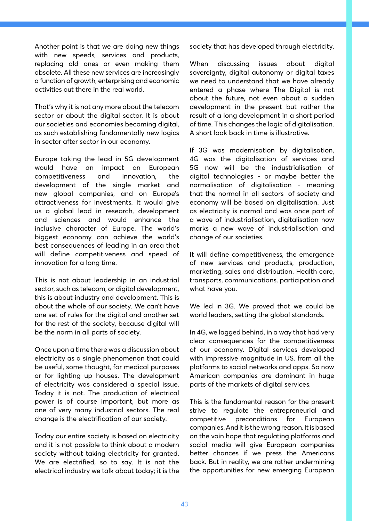Another point is that we are doing new things with new speeds, services and products, replacing old ones or even making them obsolete. All these new services are increasingly a function of growth, enterprising and economic activities out there in the real world.

That's why it is not any more about the telecom sector or about the digital sector. It is about our societies and economies becoming digital, as such establishing fundamentally new logics in sector after sector in our economy.

Europe taking the lead in 5G development would have an impact on European competitiveness and innovation, the development of the single market and new global companies, and on Europe's attractiveness for investments. It would give us a global lead in research, development and sciences and would enhance the inclusive character of Europe. The world's biggest economy can achieve the world's best consequences of leading in an area that will define competitiveness and speed of innovation for a long time.

This is not about leadership in an industrial sector, such as telecom, or digital development, this is about industry and development. This is about the whole of our society. We can't have one set of rules for the digital and another set for the rest of the society, because digital will be the norm in all parts of society.

Once upon a time there was a discussion about electricity as a single phenomenon that could be useful, some thought, for medical purposes or for lighting up houses. The development of electricity was considered a special issue. Today it is not. The production of electrical power is of course important, but more as one of very many industrial sectors. The real change is the electrification of our society.

Today our entire society is based on electricity and it is not possible to think about a modern society without taking electricity for granted. We are electrified, so to say. It is not the electrical industry we talk about today; it is the

society that has developed through electricity.

When discussing issues about digital sovereignty, digital autonomy or digital taxes we need to understand that we have already entered a phase where The Digital is not about the future, not even about a sudden development in the present but rather the result of a long development in a short period of time. This changes the logic of digitalisation. A short look back in time is illustrative.

If 3G was modernisation by digitalisation, 4G was the digitalisation of services and 5G now will be the industrialisation of digital technologies - or maybe better the normalisation of digitalisation - meaning that the normal in all sectors of society and economy will be based on digitalisation. Just as electricity is normal and was once part of a wave of industrialisation, digitalisation now marks a new wave of industrialisation and change of our societies.

It will define competitiveness, the emergence of new services and products, production, marketing, sales and distribution. Health care, transports, communications, participation and what have you.

We led in 3G. We proved that we could be world leaders, setting the global standards.

In 4G, we lagged behind, in a way that had very clear consequences for the competitiveness of our economy. Digital services developed with impressive magnitude in US, from all the platforms to social networks and apps. So now American companies are dominant in huge parts of the markets of digital services.

This is the fundamental reason for the present strive to regulate the entrepreneurial and competitive preconditions for European companies. And it is the wrong reason. It is based on the vain hope that regulating platforms and social media will give European companies better chances if we press the Americans back. But in reality, we are rather undermining the opportunities for new emerging European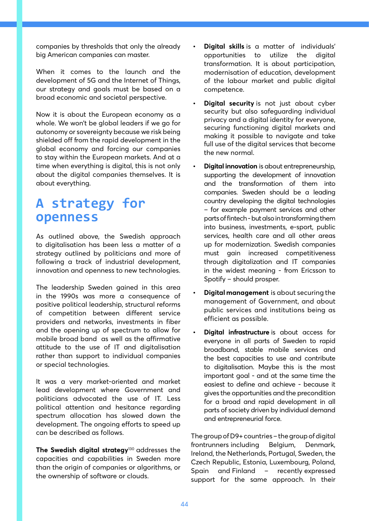companies by thresholds that only the already big American companies can master.

When it comes to the launch and the development of 5G and the Internet of Things, our strategy and goals must be based on a broad economic and societal perspective.

Now it is about the European economy as a whole. We won't be global leaders if we go for autonomy or sovereignty because we risk being shielded off from the rapid development in the global economy and forcing our companies to stay within the European markets. And at a time when everything is digital, this is not only about the digital companies themselves. It is about everything.

# **A strategy for openness**

As outlined above, the Swedish approach to digitalisation has been less a matter of a strategy outlined by politicians and more of following a track of industrial development, innovation and openness to new technologies.

The leadership Sweden gained in this area in the 1990s was more a consequence of positive political leadership, structural reforms of competition between different service providers and networks, investments in fiber and the opening up of spectrum to allow for mobile broad band as well as the affirmative attitude to the use of IT and digitalisation rather than support to individual companies or special technologies.

It was a very market-oriented and market lead development where Government and politicians advocated the use of IT. Less political attention and hesitance regarding spectrum allocation has slowed down the development. The ongoing efforts to speed up can be described as follows.

**The Swedish digital strategy**<sup>130</sup> addresses the capacities and capabilities in Sweden more than the origin of companies or algorithms, or the ownership of software or clouds.

- **• Digital skills** is a matter of individuals' opportunities to utilize the digital transformation. It is about participation, modernisation of education, development of the labour market and public digital competence.
- **• Digital security** is not just about cyber security but also safeguarding individual privacy and a digital identity for everyone, securing functioning digital markets and making it possible to navigate and take full use of the digital services that become the new normal.
- **• Digital innovation** is about entrepreneurship, supporting the development of innovation and the transformation of them into companies. Sweden should be a leading country developing the digital technologies – for example payment services and other parts of fintech - but also in transforming them into business, investments, e-sport, public services, health care and all other areas up for modernization. Swedish companies must gain increased competitiveness through digitalization and IT companies in the widest meaning - from Ericsson to Spotify – should prosper.
- **• Digital management** is about securing the management of Government, and about public services and institutions being as efficient as possible.
- **• Digital infrastructure** is about access for everyone in all parts of Sweden to rapid broadband, stable mobile services and the best capacities to use and contribute to digitalisation. Maybe this is the most important goal - and at the same time the easiest to define and achieve - because it gives the opportunities and the precondition for a broad and rapid development in all parts of society driven by individual demand and entrepreneurial force.

The group of D9+ countries – the group of digital frontrunners including Belgium, Denmark, Ireland, the Netherlands, Portugal, Sweden, the Czech Republic, Estonia, Luxembourg, Poland, Spain and Finland – recently expressed support for the same approach. In their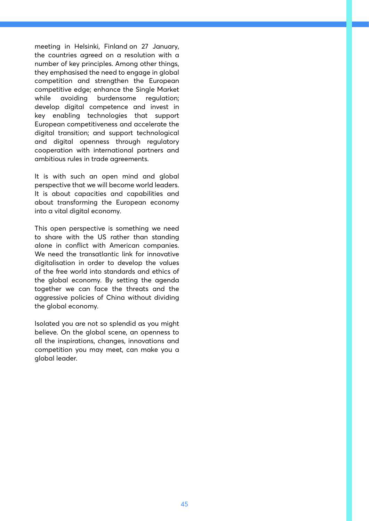meeting in Helsinki, Finland on 27 January, the countries agreed on a resolution with a number of key principles. Among other things, they emphasised the need to engage in global competition and strengthen the European competitive edge; enhance the Single Market while avoiding burdensome regulation; develop digital competence and invest in key enabling technologies that support European competitiveness and accelerate the digital transition; and support technological and digital openness through regulatory cooperation with international partners and ambitious rules in trade agreements.

It is with such an open mind and global perspective that we will become world leaders. It is about capacities and capabilities and about transforming the European economy into a vital digital economy.

This open perspective is something we need to share with the US rather than standing alone in conflict with American companies. We need the transatlantic link for innovative digitalisation in order to develop the values of the free world into standards and ethics of the global economy. By setting the agenda together we can face the threats and the aggressive policies of China without dividing the global economy.

Isolated you are not so splendid as you might believe. On the global scene, an openness to all the inspirations, changes, innovations and competition you may meet, can make you a global leader.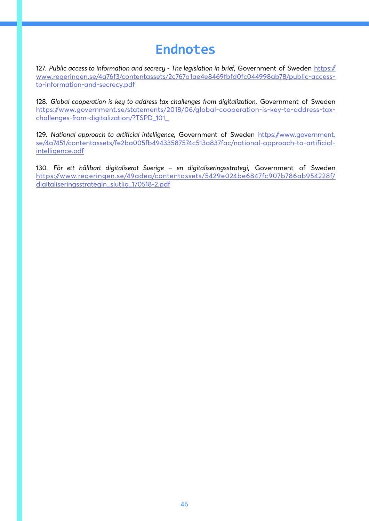# **Endnotes**

127. *Public access to information and secrecy - The legislation in brief*, Government of Sweden https:// www.regeringen.se/4a76f3/contentassets/2c767a1ae4e8469fbfd0fc044998ab78/public-accessto-information-and-secrecy.pdf

128. *Global cooperation is key to address tax challenges from digitalization*, Government of Sweden https://www.government.se/statements/2018/06/global-cooperation-is-key-to-address-taxchallenges-from-digitalization/?TSPD\_101\_

129. *National approach to artificial intelligence*, Government of Sweden https://www.government. se/4a7451/contentassets/fe2ba005fb49433587574c513a837fac/national-approach-to-artificialintelligence.pdf

130. *För ett hållbart digitaliserat Sverige – en digitaliseringsstrategi*, Government of Sweden https://www.regeringen.se/49adea/contentassets/5429e024be6847fc907b786ab954228f/ digitaliseringsstrategin\_slutlig\_170518-2.pdf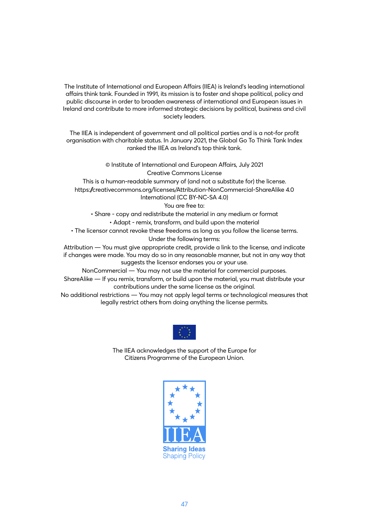The Institute of International and European Affairs (IIEA) is Ireland's leading international affairs think tank. Founded in 1991, its mission is to foster and shape political, policy and public discourse in order to broaden awareness of international and European issues in Ireland and contribute to more informed strategic decisions by political, business and civil society leaders.

The IIEA is independent of government and all political parties and is a not-for profit organisation with charitable status. In January 2021, the Global Go To Think Tank Index ranked the IIEA as Ireland's top think tank.

> © Institute of International and European Affairs, July 2021 Creative Commons License

This is a human-readable summary of (and not a substitute for) the license. https://creativecommons.org/licenses/Attribution-NonCommercial-ShareAlike 4.0 International (CC BY-NC-SA 4.0)

You are free to:

• Share - copy and redistribute the material in any medium or format

• Adapt - remix, transform, and build upon the material

• The licensor cannot revoke these freedoms as long as you follow the license terms. Under the following terms:

Attribution — You must give appropriate credit, provide a link to the license, and indicate if changes were made. You may do so in any reasonable manner, but not in any way that suggests the licensor endorses you or your use.

NonCommercial — You may not use the material for commercial purposes.

ShareAlike — If you remix, transform, or build upon the material, you must distribute your contributions under the same license as the original.

No additional restrictions — You may not apply legal terms or technological measures that legally restrict others from doing anything the license permits.



The IIEA acknowledges the support of the Europe for Citizens Programme of the European Union.